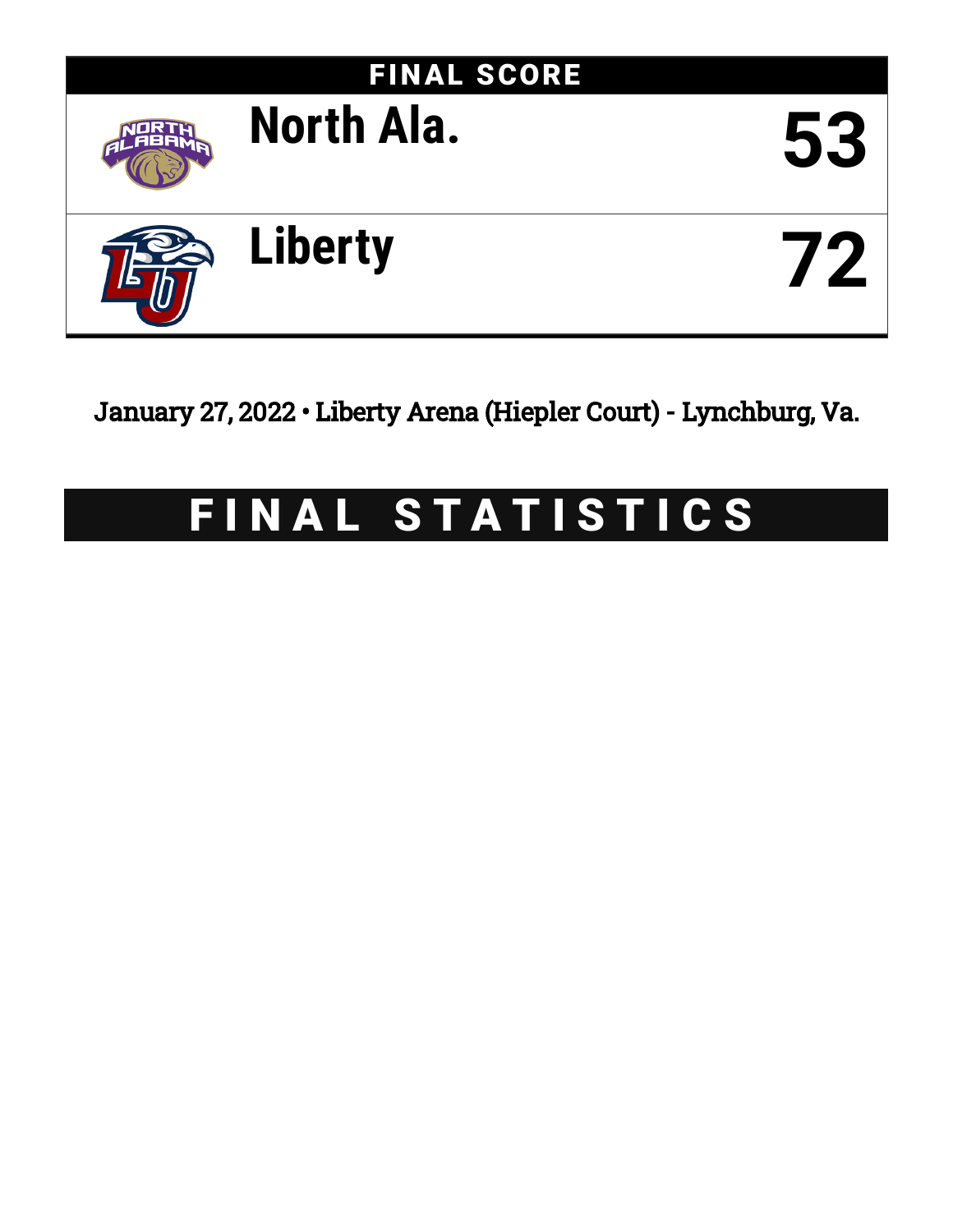

January 27, 2022 • Liberty Arena (Hiepler Court) - Lynchburg, Va.

# FINAL STATISTICS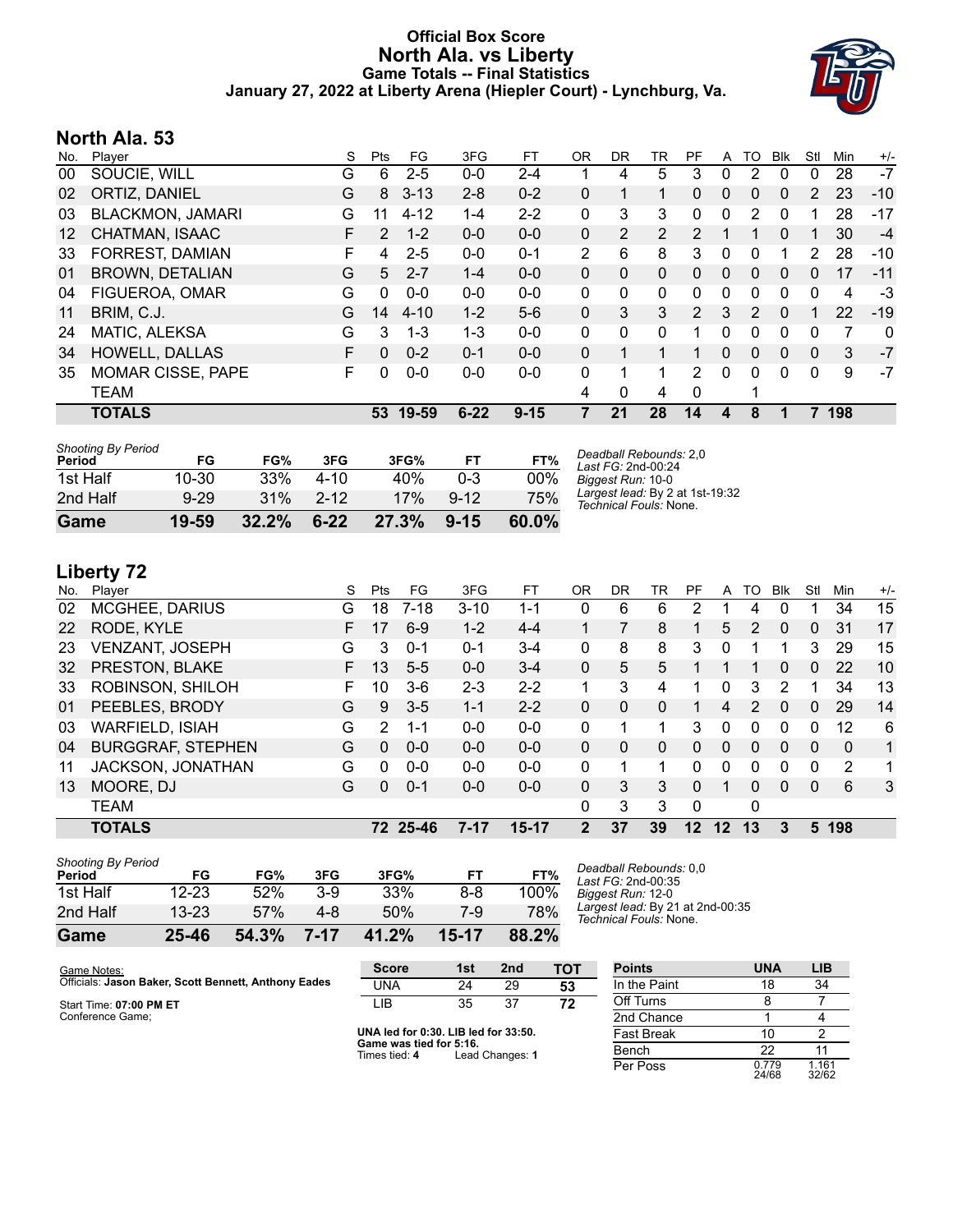### **Official Box Score North Ala. vs Liberty Game Totals -- Final Statistics January 27, 2022 at Liberty Arena (Hiepler Court) - Lynchburg, Va.**



## **North Ala. 53**

| No.               | Plaver                   | S | <b>Pts</b> | FG.      | 3FG      | FT       | 0R             | DR. | TR             | PF            | A | TO           | <b>Blk</b> | Stl         | Min | $+/-$ |
|-------------------|--------------------------|---|------------|----------|----------|----------|----------------|-----|----------------|---------------|---|--------------|------------|-------------|-----|-------|
| 00                | SOUCIE, WILL             | G | 6          | $2 - 5$  | $0 - 0$  | 2-4      |                | 4   | 5              | 3             | 0 | 2            | $\Omega$   | 0           | 28  | $-7$  |
| 02                | ORTIZ, DANIEL            | G | 8          | $3 - 13$ | $2 - 8$  | $0 - 2$  | 0              | 1   | 1              | $\Omega$      | 0 | $\mathbf{0}$ | $\Omega$   | 2           | 23  | $-10$ |
| 03                | <b>BLACKMON, JAMARI</b>  | G | 11         | $4 - 12$ | $1 - 4$  | $2 - 2$  | 0              | 3   | 3              | 0             | 0 | 2            | 0          | 1           | 28  | $-17$ |
| $12 \overline{ }$ | CHATMAN, ISAAC           | F | 2          | $1 - 2$  | $0 - 0$  | $0 - 0$  | 0              | 2   | $\overline{2}$ | $\mathcal{P}$ |   |              | 0          | 1           | 30  | $-4$  |
| 33                | <b>FORREST, DAMIAN</b>   | F | 4          | $2 - 5$  | $0 - 0$  | $0 - 1$  | $\overline{2}$ | 6   | 8              | 3             | 0 | 0            |            | 2           | 28  | -10   |
| 01                | <b>BROWN, DETALIAN</b>   | G | 5          | $2 - 7$  | $1 - 4$  | $0 - 0$  | 0              | 0   | $\mathbf{0}$   | $\Omega$      | 0 | $\Omega$     | $\Omega$   | 0           | 17  | $-11$ |
| 04                | FIGUEROA, OMAR           | G | 0          | $0 - 0$  | $0 - 0$  | $0-0$    | 0              | 0   | 0              | 0             | 0 | 0            | 0          | $\mathbf 0$ | 4   | $-3$  |
| 11                | BRIM, C.J.               | G | 14         | 4-10     | $1 - 2$  | $5-6$    | 0              | 3   | 3              | $\mathcal{P}$ | 3 | 2            | $\Omega$   | 1           | 22  | $-19$ |
| 24                | MATIC, ALEKSA            | G | 3          | $1 - 3$  | $1 - 3$  | $0-0$    | 0              | 0   | $\mathbf{0}$   | 1             | 0 | $\Omega$     | $\Omega$   | 0           | 7   | 0     |
| 34                | <b>HOWELL, DALLAS</b>    | F | $\Omega$   | $0 - 2$  | $0 - 1$  | $0 - 0$  | 0              | 1   | 1              | 1             | 0 | 0            | 0          | 0           | 3   | $-7$  |
| 35                | <b>MOMAR CISSE, PAPE</b> | F | 0          | $0 - 0$  | $0 - 0$  | $0 - 0$  | 0              |     |                | 2             | 0 | 0            | 0          | 0           | 9   | $-7$  |
|                   | <b>TEAM</b>              |   |            |          |          |          | 4              | 0   | 4              | $\Omega$      |   |              |            |             |     |       |
|                   | <b>TOTALS</b>            |   | 53         | 19-59    | $6 - 22$ | $9 - 15$ | 7              | 21  | 28             | 14            | 4 | 8            |            |             | 198 |       |

| <b>Shooting By Period</b><br>Period | FG        | FG%   | 3FG      | 3FG%  | FT       | FT%      | Deadball Rebounds: 2,0<br>Last FG: 2nd-00:24              |
|-------------------------------------|-----------|-------|----------|-------|----------|----------|-----------------------------------------------------------|
| 1st Half                            | 10-30     | 33%   | $4 - 10$ | 40%   | $0 - 3$  | 00%      | Biggest Run: 10-0                                         |
| 2nd Half                            | $9 - 29$  | 31%   | $2 - 12$ | 17%   | $9 - 12$ | 75%      | Largest lead: By 2 at 1st-19:32<br>Technical Fouls: None. |
| Game                                | $19 - 59$ | 32.2% | $6 - 22$ | 27.3% | $9 - 15$ | $60.0\%$ |                                                           |

# **Liberty 72**

| No. | Player                   | S  | Pts           | FG       | 3FG      | FТ        | ΟR           | DR | TR           | PF       | A            | TO | Blk          | Stl      | Min            | $+/-$ |
|-----|--------------------------|----|---------------|----------|----------|-----------|--------------|----|--------------|----------|--------------|----|--------------|----------|----------------|-------|
| 02  | MCGHEE, DARIUS           | G  | 18            | $7 - 18$ | $3 - 10$ | $1 - 1$   | 0            | 6  | 6            | 2        |              | 4  | 0            |          | 34             | 15    |
| 22  | RODE, KYLE               | F. | 17            | $6-9$    | $1 - 2$  | $4 - 4$   |              |    | 8            |          | 5            | 2  | $\mathbf{0}$ | 0        | 31             | 17    |
| 23  | <b>VENZANT, JOSEPH</b>   | G  | 3             | $0 - 1$  | $0 - 1$  | $3 - 4$   | $\mathbf{0}$ | 8  | 8            | 3        | 0            |    |              | 3        | 29             | 15    |
| 32  | PRESTON, BLAKE           | F. | 13            | $5-5$    | $0 - 0$  | $3 - 4$   | $\Omega$     | 5  | 5            |          |              |    | 0            | 0        | 22             | 10    |
| 33  | ROBINSON, SHILOH         | F  | 10            | $3-6$    | $2 - 3$  | $2 - 2$   | 1            | 3  | 4            |          | 0            | 3  | 2            |          | 34             | 13    |
| 01  | PEEBLES, BRODY           | G  | 9             | $3 - 5$  | $1 - 1$  | $2 - 2$   | $\Omega$     | 0  | $\mathbf{0}$ | 1        | 4            | 2  | $\mathbf{0}$ | 0        | 29             | 14    |
| 03  | <b>WARFIELD, ISIAH</b>   | G  | $\mathcal{P}$ | $1 - 1$  | $0 - 0$  | $0-0$     | $\Omega$     | 1  | 1            | 3        | 0            | 0  | 0            | 0        | 12             | 6     |
| 04  | <b>BURGGRAF, STEPHEN</b> | G  | $\Omega$      | $0 - 0$  | $0 - 0$  | $0 - 0$   | $\Omega$     | 0  | $\Omega$     | 0        | $\mathbf{0}$ | 0  | $\Omega$     | $\Omega$ | $\Omega$       | 1     |
| 11  | JACKSON, JONATHAN        | G  | $\Omega$      | $0 - 0$  | $0 - 0$  | $0 - 0$   | 0            |    |              | 0        | 0            | 0  | 0            | 0        | $\overline{2}$ | 1     |
| 13  | MOORE, DJ                | G  | 0             | $0 - 1$  | $0 - 0$  | $0 - 0$   | $\Omega$     | 3  | 3            | 0        | 1            | 0  | $\Omega$     | $\Omega$ | 6              | 3     |
|     | <b>TEAM</b>              |    |               |          |          |           | $\Omega$     | 3  | 3            | $\Omega$ |              | 0  |              |          |                |       |
|     | <b>TOTALS</b>            |    |               | 72 25-46 | $7 - 17$ | $15 - 17$ | $2^{\circ}$  | 37 | 39           | 12       | 12           | 13 | 3            |          | 5 198          |       |
|     |                          |    |               |          |          |           |              |    |              |          |              |    |              |          |                |       |

| Game                                | 25-46     | 54.3% | 7-17  | 41.2% | 15-17 | 88.2% |  |
|-------------------------------------|-----------|-------|-------|-------|-------|-------|--|
| 2nd Half                            | $13 - 23$ | 57%   | 4-8   | 50%   | 7-9   | 78%   |  |
| 1st Half                            | 12-23     | 52%   | $3-9$ | 33%   | 8-8   | 100%  |  |
| <b>Shooting By Period</b><br>Period | FG        | FG%   | 3FG   | 3FG%  | FT    | FT%   |  |

*Deadball Rebounds:* 0,0 *Last FG:* 2nd-00:35 *Biggest Run:* 12-0 *Largest lead:* By 21 at 2nd-00:35 *Technical Fouls:* None.

| Game Notes:                                          | <b>Score</b>                                                   | 1st | 2nd | тот               | <b>Points</b> |
|------------------------------------------------------|----------------------------------------------------------------|-----|-----|-------------------|---------------|
| Officials: Jason Baker, Scott Bennett, Anthony Eades | UNA                                                            | 24  | 29  | 53                | In the Paint  |
| Start Time: 07:00 PM ET                              | LIB                                                            | 35  | 37  | 72                | Off Turns     |
| Conference Game;                                     |                                                                |     |     |                   | 2nd Chance    |
|                                                      | UNA led for 0:30. LIB led for 33:50.<br>Come was find for Eide |     |     | <b>Fast Break</b> |               |

**Game was tie**<br>Times tied: 4 **S. To.**<br>Lead Changes: **1** 

| <b>Points</b>     | <b>UNA</b>     | LIB            |
|-------------------|----------------|----------------|
| In the Paint      | 18             | 34             |
| Off Turns         | 8              |                |
| 2nd Chance        | 1              |                |
| <b>Fast Break</b> | 10             | 2              |
| Bench             | 22             | 11             |
| Per Poss          | 0.779<br>24/68 | 1.161<br>32/62 |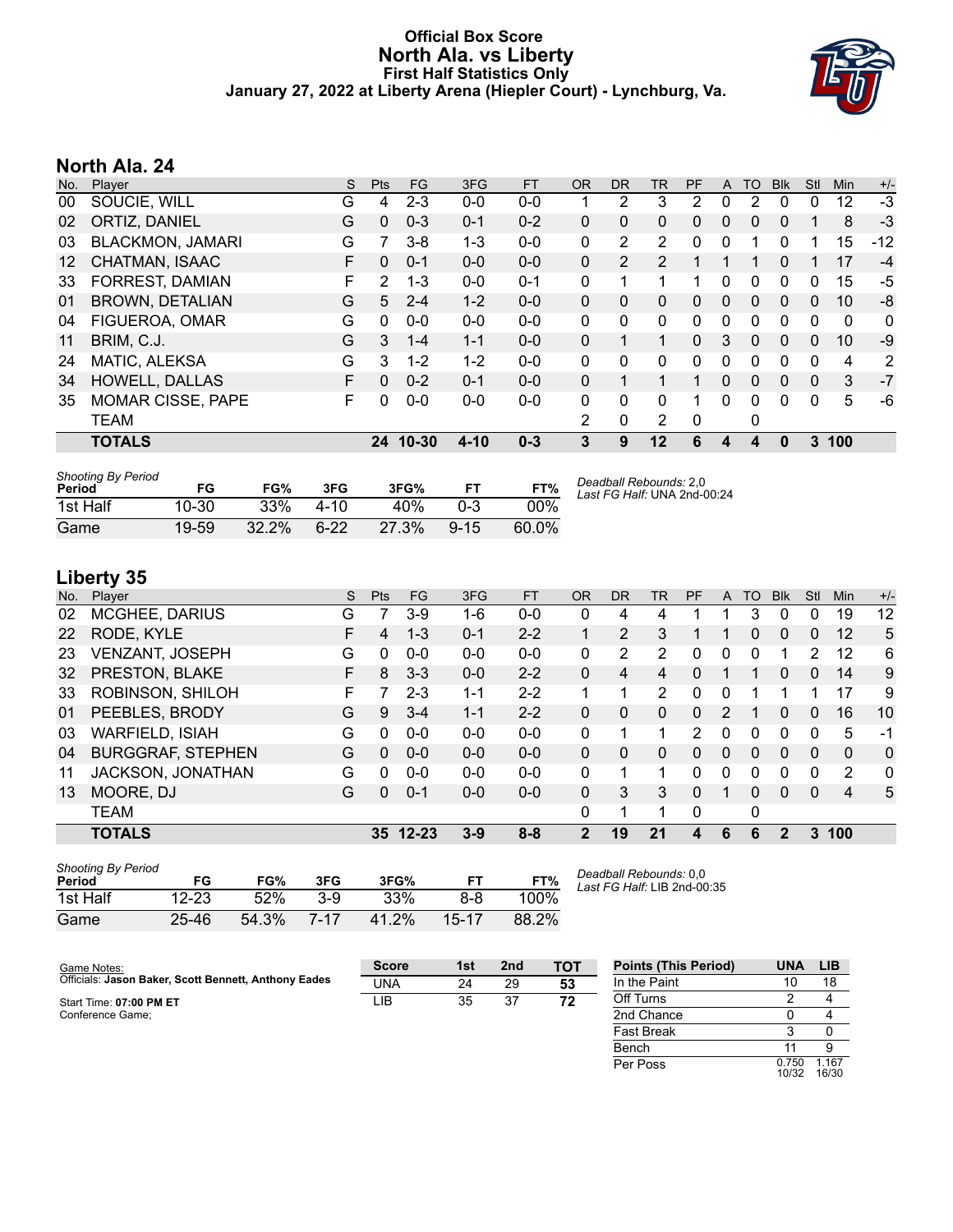#### **Official Box Score North Ala. vs Liberty First Half Statistics Only January 27, 2022 at Liberty Arena (Hiepler Court) - Lynchburg, Va.**



# **North Ala. 24**

| No.               | Player                   | S  | <b>Pts</b>   | <b>FG</b> | 3FG      | <b>FT</b> | 0R       | <b>DR</b> | TR.            | PF             | A        | TO       | <b>B</b> lk | Stl          | Min         | $+/-$ |
|-------------------|--------------------------|----|--------------|-----------|----------|-----------|----------|-----------|----------------|----------------|----------|----------|-------------|--------------|-------------|-------|
| 00                | SOUCIE, WILL             | G  | 4            | $2 - 3$   | $0 - 0$  | $0-0$     |          | 2         | 3              | $\overline{2}$ | 0        | 2        | 0           | 0            | 12          | $-3$  |
| 02                | ORTIZ, DANIEL            | G  | $\mathbf{0}$ | $0 - 3$   | $0 - 1$  | $0 - 2$   | 0        | 0         | 0              | 0              | 0        | 0        | 0           | 1            | 8           | $-3$  |
| 03                | <b>BLACKMON, JAMARI</b>  | G  | 7            | $3 - 8$   | 1-3      | $0 - 0$   | 0        | 2         | $\overline{2}$ | 0              | 0        |          | 0           |              | 15          | $-12$ |
| $12 \overline{ }$ | CHATMAN, ISAAC           | F. | $\Omega$     | $0 - 1$   | $0 - 0$  | $0 - 0$   | 0        | 2         | $\overline{2}$ |                |          |          | 0           |              | 17          | $-4$  |
| 33                | FORREST, DAMIAN          | F  | 2            | $1 - 3$   | $0 - 0$  | $0 - 1$   | 0        | 1         |                |                | 0        | 0        | 0           | 0            | 15          | -5    |
| 01                | <b>BROWN, DETALIAN</b>   | G  | 5            | $2 - 4$   | $1 - 2$  | $0 - 0$   | $\Omega$ | 0         | $\Omega$       | 0              | 0        | $\Omega$ | $\Omega$    | 0            | 10          | -8    |
| 04                | FIGUEROA, OMAR           | G  | $\Omega$     | $0 - 0$   | $0 - 0$  | $0-0$     | 0        | 0         | $\mathbf{0}$   | 0              | 0        | 0        | $\Omega$    | 0            | $\mathbf 0$ | 0     |
| 11                | BRIM, C.J.               | G  | 3            | $1 - 4$   | $1 - 1$  | $0 - 0$   | 0        | 1         | 1              | 0              | 3        | 0        | $\Omega$    | 0            | 10          | $-9$  |
| 24                | MATIC, ALEKSA            | G  | 3            | $1 - 2$   | $1 - 2$  | $0 - 0$   | 0        | 0         | 0              | O              | 0        | 0        | 0           | $\Omega$     | 4           | 2     |
| 34                | <b>HOWELL, DALLAS</b>    | F. | $\Omega$     | $0 - 2$   | $0 - 1$  | $0 - 0$   | $\Omega$ | 1         |                |                | $\Omega$ | $\Omega$ | $\Omega$    | $\mathbf{0}$ | 3           | $-7$  |
| 35                | <b>MOMAR CISSE, PAPE</b> | F. | O            | $0 - 0$   | $0 - 0$  | $0 - 0$   | 0        | $\Omega$  | $\Omega$       | 1              | 0        | $\Omega$ | $\Omega$    | $\Omega$     | 5           | -6    |
|                   | <b>TEAM</b>              |    |              |           |          |           | 2        | 0         | 2              | 0              |          | 0        |             |              |             |       |
|                   | <b>TOTALS</b>            |    | 24           | $10 - 30$ | $4 - 10$ | $0 - 3$   | 3        | 9         | 12             | 6              | 4        |          | 0           | 3            | 100         |       |

| <b>Shooting By Period</b><br>Period | FG        | FG%      | 3FG      | 3FG%  | FТ       | FT%    | Deadball Rebounds: 2,0<br>Last FG Half: UNA 2nd-00:24 |
|-------------------------------------|-----------|----------|----------|-------|----------|--------|-------------------------------------------------------|
| 1st Half                            | $10 - 30$ | 33%      | $4 - 10$ | 40%   | $0 - 3$  | $00\%$ |                                                       |
| Game                                | 19-59     | $32.2\%$ | $6 - 22$ | 27.3% | $9 - 15$ | 60.0%  |                                                       |

# **Liberty 35**

|     | --------                 |    |            |           |         |           |                |                |                |               |          |    |              |          |                |              |
|-----|--------------------------|----|------------|-----------|---------|-----------|----------------|----------------|----------------|---------------|----------|----|--------------|----------|----------------|--------------|
| No. | Player                   | S  | <b>Pts</b> | FG        | 3FG     | <b>FT</b> | <b>OR</b>      | D <sub>R</sub> | TR             | PF            | A        | TO | <b>Blk</b>   | Stl      | Min            | $+/-$        |
| 02  | <b>MCGHEE, DARIUS</b>    | G  |            | $3-9$     | 1-6     | $0 - 0$   | 0              | 4              | 4              |               |          | 3  | 0            | 0        | 19             | 12           |
| 22  | RODE, KYLE               | F. | 4          | $1 - 3$   | $0 - 1$ | $2 - 2$   | 1              | 2              | 3              |               | 1        | 0  | $\mathbf{0}$ | $\Omega$ | 12             | 5            |
| 23  | <b>VENZANT, JOSEPH</b>   | G  | 0          | $0 - 0$   | $0 - 0$ | $0 - 0$   | 0              | 2              | 2              | 0             | 0        | 0  |              | 2        | 12             | 6            |
| 32  | PRESTON, BLAKE           | F  | 8          | $3 - 3$   | $0 - 0$ | $2 - 2$   | 0              | 4              | 4              | 0             |          |    | $\mathbf{0}$ | $\Omega$ | 14             | 9            |
| 33  | ROBINSON, SHILOH         | F. |            | $2 - 3$   | $1 - 1$ | $2 - 2$   | 1              |                | $\overline{2}$ | 0             | 0        |    |              |          | 17             | 9            |
| 01  | PEEBLES, BRODY           | G  | 9          | $3 - 4$   | $1 - 1$ | $2 - 2$   | 0              | 0              | $\Omega$       | 0             | 2        |    | $\Omega$     | $\Omega$ | 16             | 10           |
| 03  | <b>WARFIELD, ISIAH</b>   | G  | 0          | $0 - 0$   | $0 - 0$ | $0 - 0$   | 0              | 1              | 1              | $\mathcal{P}$ | 0        | 0  | $\Omega$     | $\Omega$ | 5              | $-1$         |
| 04  | <b>BURGGRAF, STEPHEN</b> | G  | 0          | $0 - 0$   | $0 - 0$ | $0 - 0$   | $\Omega$       | 0              | $\Omega$       | 0             | $\Omega$ | 0  | $\Omega$     | $\Omega$ | $\Omega$       | $\mathbf{0}$ |
| 11  | JACKSON, JONATHAN        | G  | 0          | $0 - 0$   | $0 - 0$ | $0 - 0$   | 0              |                |                | 0             | 0        | 0  | $\mathbf{0}$ | $\Omega$ | 2              | $\mathbf{0}$ |
| 13  | MOORE, DJ                | G  | 0          | $0 - 1$   | $0 - 0$ | $0 - 0$   | 0              | 3              | 3              | 0             |          | 0  | $\Omega$     | $\Omega$ | $\overline{4}$ | 5            |
|     | <b>TEAM</b>              |    |            |           |         |           | 0              |                |                | $\Omega$      |          | 0  |              |          |                |              |
|     | <b>TOTALS</b>            |    | 35         | $12 - 23$ | $3 - 9$ | $8 - 8$   | $\overline{2}$ | 19             | 21             | 4             | 6        | 6  | $\mathbf{2}$ | 3        | 100            |              |
|     |                          |    |            |           |         |           |                |                |                |               |          |    |              |          |                |              |

| <b>Shooting By Period</b><br>Period | FG        | FG%   | 3FG  | 3FG%  | FТ    | FT%   |
|-------------------------------------|-----------|-------|------|-------|-------|-------|
| 1st Half                            | $12 - 23$ | 52%   | 3-9  | 33%   | 8-8   | 100%  |
| Game                                | $25 - 46$ | 54.3% | 7-17 | 41.2% | 15-17 | 88.2% |

*Deadball Rebounds:* 0,0 *Last FG Half:* LIB 2nd-00:35

Per Poss

0.750<br>10/32

1.167 16/30

| Game Notes:                                          | <b>Score</b> | 1st | 2 <sub>nd</sub> | <b>TOT</b> | <b>Points (This Period)</b> | <b>UNA</b> | LIB |
|------------------------------------------------------|--------------|-----|-----------------|------------|-----------------------------|------------|-----|
| Officials: Jason Baker, Scott Bennett, Anthony Eades | UNA          | 24  | 29              | 53         | In the Paint                |            | 18  |
| Start Time: 07:00 PM ET                              | LIB          | 35  | 37              | 72         | Off Turns                   |            |     |
| Conference Game:                                     |              |     |                 |            | 2nd Chance                  |            |     |
|                                                      |              |     |                 |            | <b>Fast Break</b>           |            |     |
|                                                      |              |     |                 |            | Bench                       |            |     |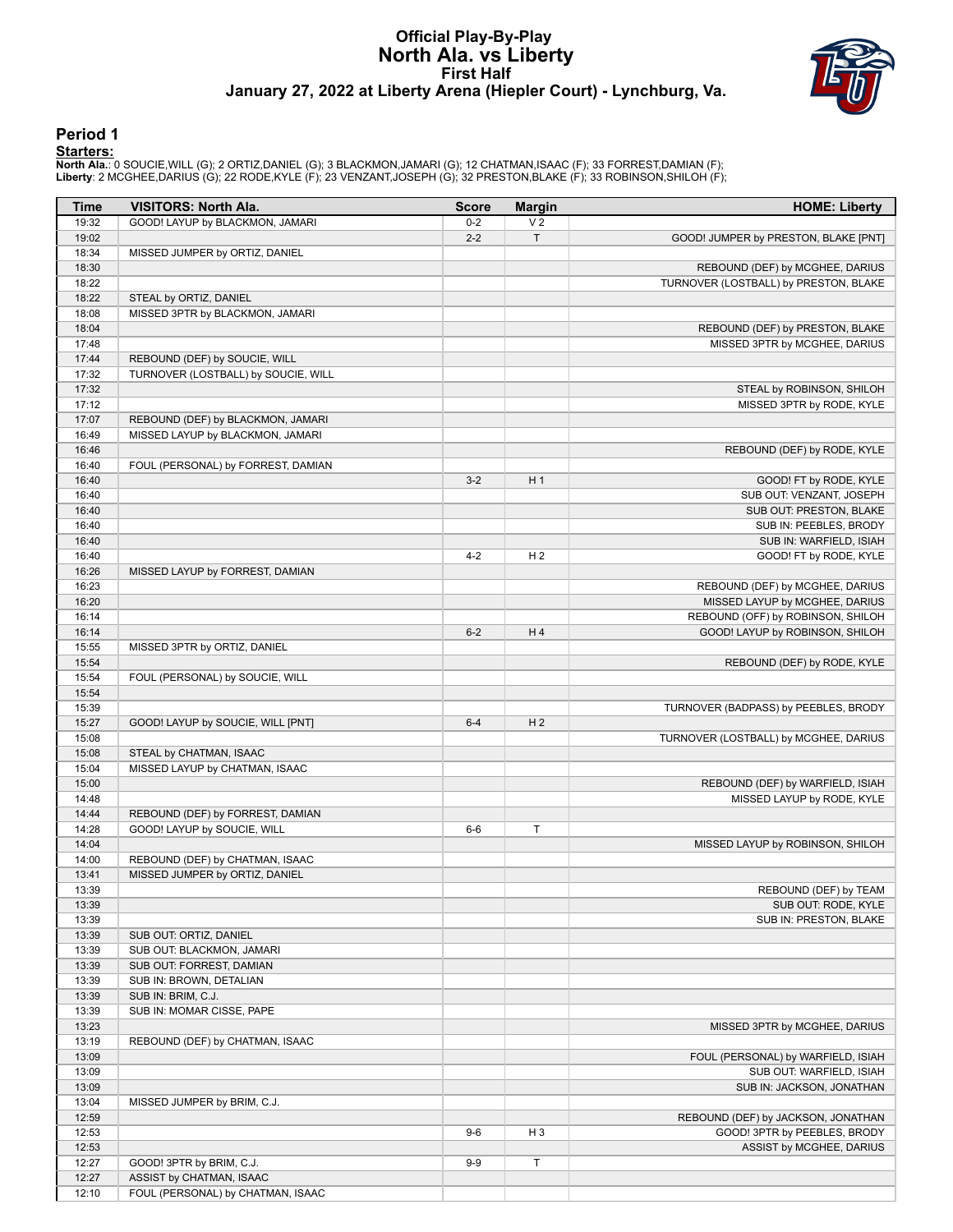### **Official Play-By-Play North Ala. vs Liberty First Half January 27, 2022 at Liberty Arena (Hiepler Court) - Lynchburg, Va.**



#### **Period 1**

<mark>Starters :</mark><br>North Ala.: 0 SOUCIE,WILL (G); 2 ORTIZ,DANIEL (G); 3 BLACKMON,JAMARI (G); 12 CHATMAN,ISAAC (F); 33 FORREST,DAMIAN (F);<br>Liberty: 2 MCGHEE,DARIUS (G); 22 RODE,KYLE (F); 23 VENZANT,JOSEPH (G); 32 PRESTON,BLAKE (F

| <b>Time</b>    | <b>VISITORS: North Ala.</b>         | <b>Score</b> | <b>Margin</b>  | <b>HOME: Liberty</b>                  |
|----------------|-------------------------------------|--------------|----------------|---------------------------------------|
| 19:32          | GOOD! LAYUP by BLACKMON, JAMARI     | $0-2$        | V <sub>2</sub> |                                       |
| 19:02          |                                     | $2 - 2$      | $\top$         | GOOD! JUMPER by PRESTON, BLAKE [PNT]  |
| 18:34          | MISSED JUMPER by ORTIZ, DANIEL      |              |                |                                       |
| 18:30          |                                     |              |                | REBOUND (DEF) by MCGHEE, DARIUS       |
| 18:22          |                                     |              |                | TURNOVER (LOSTBALL) by PRESTON, BLAKE |
| 18:22          | STEAL by ORTIZ, DANIEL              |              |                |                                       |
| 18:08          | MISSED 3PTR by BLACKMON, JAMARI     |              |                |                                       |
| 18:04          |                                     |              |                | REBOUND (DEF) by PRESTON, BLAKE       |
| 17:48          |                                     |              |                | MISSED 3PTR by MCGHEE, DARIUS         |
| 17:44<br>17:32 | REBOUND (DEF) by SOUCIE, WILL       |              |                |                                       |
| 17:32          | TURNOVER (LOSTBALL) by SOUCIE, WILL |              |                | STEAL by ROBINSON, SHILOH             |
| 17:12          |                                     |              |                | MISSED 3PTR by RODE, KYLE             |
| 17:07          | REBOUND (DEF) by BLACKMON, JAMARI   |              |                |                                       |
| 16:49          | MISSED LAYUP by BLACKMON, JAMARI    |              |                |                                       |
| 16:46          |                                     |              |                | REBOUND (DEF) by RODE, KYLE           |
| 16:40          | FOUL (PERSONAL) by FORREST, DAMIAN  |              |                |                                       |
| 16:40          |                                     | $3-2$        | H <sub>1</sub> | GOOD! FT by RODE, KYLE                |
| 16:40          |                                     |              |                | SUB OUT: VENZANT, JOSEPH              |
| 16:40          |                                     |              |                | SUB OUT: PRESTON, BLAKE               |
| 16:40          |                                     |              |                | SUB IN: PEEBLES, BRODY                |
| 16:40          |                                     |              |                | SUB IN: WARFIELD, ISIAH               |
| 16:40          |                                     | $4 - 2$      | H <sub>2</sub> | GOOD! FT by RODE, KYLE                |
| 16:26          | MISSED LAYUP by FORREST, DAMIAN     |              |                |                                       |
| 16:23          |                                     |              |                | REBOUND (DEF) by MCGHEE, DARIUS       |
| 16:20          |                                     |              |                | MISSED LAYUP by MCGHEE, DARIUS        |
| 16:14          |                                     |              |                | REBOUND (OFF) by ROBINSON, SHILOH     |
| 16:14          |                                     | $6 - 2$      | H <sub>4</sub> | GOOD! LAYUP by ROBINSON, SHILOH       |
| 15:55          | MISSED 3PTR by ORTIZ, DANIEL        |              |                |                                       |
| 15:54          |                                     |              |                | REBOUND (DEF) by RODE, KYLE           |
| 15:54          | FOUL (PERSONAL) by SOUCIE, WILL     |              |                |                                       |
| 15:54          |                                     |              |                |                                       |
| 15:39          |                                     |              |                | TURNOVER (BADPASS) by PEEBLES, BRODY  |
| 15:27          | GOOD! LAYUP by SOUCIE, WILL [PNT]   | $6 - 4$      | H <sub>2</sub> |                                       |
| 15:08          |                                     |              |                | TURNOVER (LOSTBALL) by MCGHEE, DARIUS |
| 15:08<br>15:04 | STEAL by CHATMAN, ISAAC             |              |                |                                       |
| 15:00          | MISSED LAYUP by CHATMAN, ISAAC      |              |                | REBOUND (DEF) by WARFIELD, ISIAH      |
| 14:48          |                                     |              |                | MISSED LAYUP by RODE, KYLE            |
| 14:44          | REBOUND (DEF) by FORREST, DAMIAN    |              |                |                                       |
| 14:28          | GOOD! LAYUP by SOUCIE, WILL         | $6-6$        | $\top$         |                                       |
| 14:04          |                                     |              |                | MISSED LAYUP by ROBINSON, SHILOH      |
| 14:00          | REBOUND (DEF) by CHATMAN, ISAAC     |              |                |                                       |
| 13:41          | MISSED JUMPER by ORTIZ, DANIEL      |              |                |                                       |
| 13:39          |                                     |              |                | REBOUND (DEF) by TEAM                 |
| 13:39          |                                     |              |                | SUB OUT: RODE, KYLE                   |
| 13:39          |                                     |              |                | SUB IN: PRESTON, BLAKE                |
| 13:39          | SUB OUT: ORTIZ, DANIEL              |              |                |                                       |
| 13:39          | SUB OUT: BLACKMON, JAMARI           |              |                |                                       |
| 13:39          | SUB OUT: FORREST, DAMIAN            |              |                |                                       |
| 13:39          | SUB IN: BROWN, DETALIAN             |              |                |                                       |
| 13:39          | SUB IN: BRIM, C.J.                  |              |                |                                       |
| 13:39          | SUB IN: MOMAR CISSE, PAPE           |              |                |                                       |
| 13:23          |                                     |              |                | MISSED 3PTR by MCGHEE, DARIUS         |
| 13:19          | REBOUND (DEF) by CHATMAN, ISAAC     |              |                |                                       |
| 13:09          |                                     |              |                | FOUL (PERSONAL) by WARFIELD, ISIAH    |
| 13:09          |                                     |              |                | SUB OUT: WARFIELD, ISIAH              |
| 13:09          |                                     |              |                | SUB IN: JACKSON, JONATHAN             |
| 13:04          | MISSED JUMPER by BRIM, C.J.         |              |                |                                       |
| 12:59          |                                     |              |                | REBOUND (DEF) by JACKSON, JONATHAN    |
| 12:53          |                                     | $9-6$        | H <sub>3</sub> | GOOD! 3PTR by PEEBLES, BRODY          |
| 12:53<br>12:27 | GOOD! 3PTR by BRIM, C.J.            | $9-9$        | $\top$         | ASSIST by MCGHEE, DARIUS              |
| 12:27          | ASSIST by CHATMAN, ISAAC            |              |                |                                       |
| 12:10          | FOUL (PERSONAL) by CHATMAN, ISAAC   |              |                |                                       |
|                |                                     |              |                |                                       |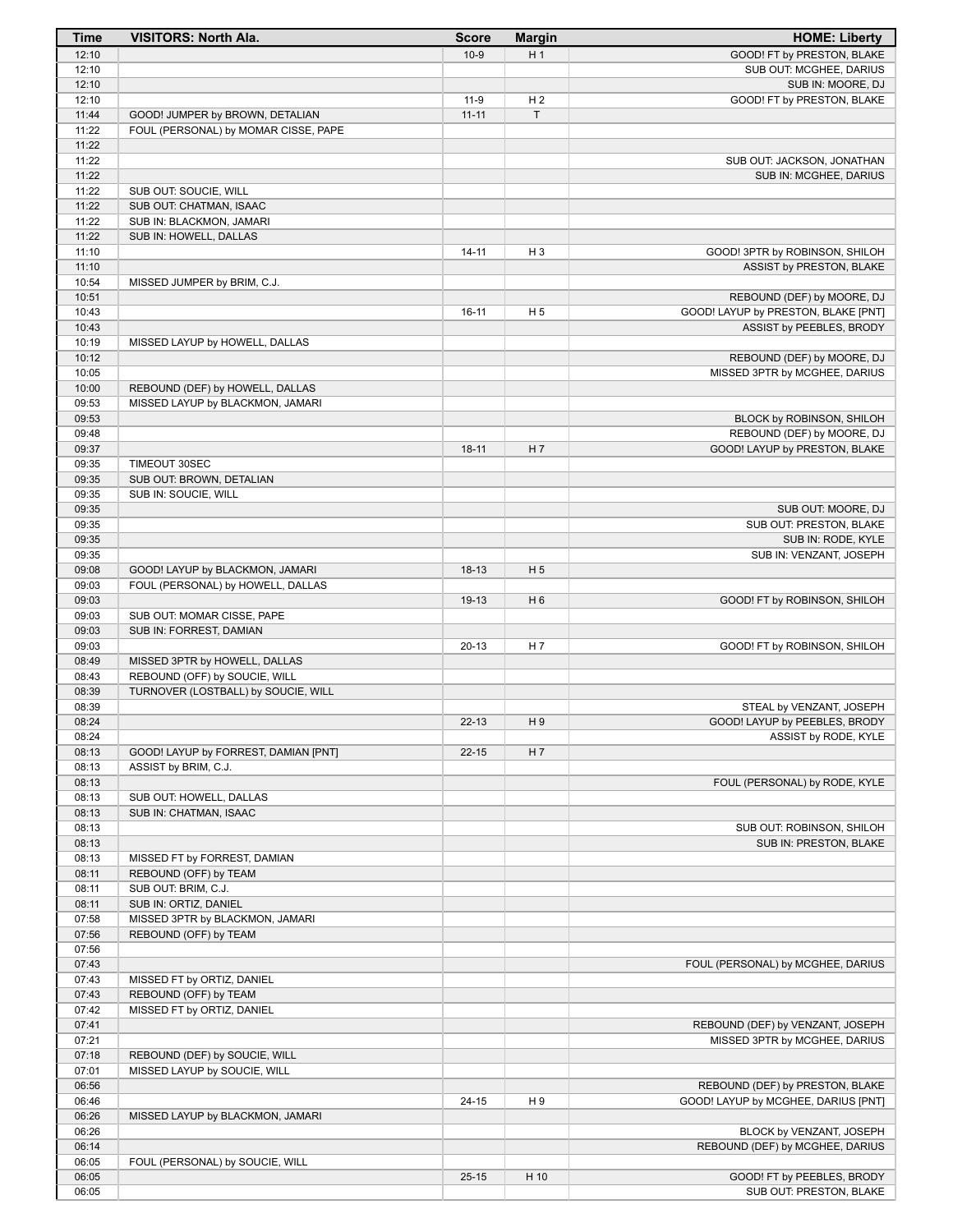| <b>Time</b>    | <b>VISITORS: North Ala.</b>                                             | <b>Score</b> | <b>Margin</b>  | <b>HOME: Liberty</b>                |
|----------------|-------------------------------------------------------------------------|--------------|----------------|-------------------------------------|
| 12:10          |                                                                         | $10-9$       | H <sub>1</sub> | GOOD! FT by PRESTON, BLAKE          |
| 12:10          |                                                                         |              |                | SUB OUT: MCGHEE, DARIUS             |
| 12:10          |                                                                         |              |                | SUB IN: MOORE, DJ                   |
| 12:10          |                                                                         | $11-9$       | H <sub>2</sub> | GOOD! FT by PRESTON, BLAKE          |
| 11:44<br>11:22 | GOOD! JUMPER by BROWN, DETALIAN<br>FOUL (PERSONAL) by MOMAR CISSE, PAPE | $11 - 11$    | T              |                                     |
| 11:22          |                                                                         |              |                |                                     |
| 11:22          |                                                                         |              |                | SUB OUT: JACKSON, JONATHAN          |
| 11:22          |                                                                         |              |                | SUB IN: MCGHEE, DARIUS              |
| 11:22          | SUB OUT: SOUCIE, WILL                                                   |              |                |                                     |
| 11:22          | SUB OUT: CHATMAN, ISAAC                                                 |              |                |                                     |
| 11:22          | SUB IN: BLACKMON, JAMARI                                                |              |                |                                     |
| 11:22          | SUB IN: HOWELL, DALLAS                                                  |              |                |                                     |
| 11:10          |                                                                         | $14 - 11$    | H <sub>3</sub> | GOOD! 3PTR by ROBINSON, SHILOH      |
| 11:10<br>10:54 | MISSED JUMPER by BRIM, C.J.                                             |              |                | ASSIST by PRESTON, BLAKE            |
| 10:51          |                                                                         |              |                | REBOUND (DEF) by MOORE, DJ          |
| 10:43          |                                                                         | $16-11$      | H <sub>5</sub> | GOOD! LAYUP by PRESTON, BLAKE [PNT] |
| 10:43          |                                                                         |              |                | ASSIST by PEEBLES, BRODY            |
| 10:19          | MISSED LAYUP by HOWELL, DALLAS                                          |              |                |                                     |
| 10:12          |                                                                         |              |                | REBOUND (DEF) by MOORE, DJ          |
| 10:05          |                                                                         |              |                | MISSED 3PTR by MCGHEE, DARIUS       |
| 10:00          | REBOUND (DEF) by HOWELL, DALLAS                                         |              |                |                                     |
| 09:53<br>09:53 | MISSED LAYUP by BLACKMON, JAMARI                                        |              |                | BLOCK by ROBINSON, SHILOH           |
| 09:48          |                                                                         |              |                | REBOUND (DEF) by MOORE, DJ          |
| 09:37          |                                                                         | $18 - 11$    | H 7            | GOOD! LAYUP by PRESTON, BLAKE       |
| 09:35          | TIMEOUT 30SEC                                                           |              |                |                                     |
| 09:35          | SUB OUT: BROWN, DETALIAN                                                |              |                |                                     |
| 09:35          | SUB IN: SOUCIE, WILL                                                    |              |                |                                     |
| 09:35          |                                                                         |              |                | SUB OUT: MOORE, DJ                  |
| 09:35          |                                                                         |              |                | SUB OUT: PRESTON, BLAKE             |
| 09:35          |                                                                         |              |                | SUB IN: RODE, KYLE                  |
| 09:35<br>09:08 | GOOD! LAYUP by BLACKMON, JAMARI                                         | $18-13$      | H <sub>5</sub> | SUB IN: VENZANT, JOSEPH             |
| 09:03          | FOUL (PERSONAL) by HOWELL, DALLAS                                       |              |                |                                     |
| 09:03          |                                                                         | 19-13        | H <sub>6</sub> | GOOD! FT by ROBINSON, SHILOH        |
| 09:03          | SUB OUT: MOMAR CISSE, PAPE                                              |              |                |                                     |
| 09:03          | SUB IN: FORREST, DAMIAN                                                 |              |                |                                     |
| 09:03          |                                                                         | $20 - 13$    | H 7            | GOOD! FT by ROBINSON, SHILOH        |
| 08:49          | MISSED 3PTR by HOWELL, DALLAS                                           |              |                |                                     |
| 08:43          | REBOUND (OFF) by SOUCIE, WILL                                           |              |                |                                     |
| 08:39<br>08:39 | TURNOVER (LOSTBALL) by SOUCIE, WILL                                     |              |                | STEAL by VENZANT, JOSEPH            |
| 08:24          |                                                                         | $22 - 13$    | H9             | GOOD! LAYUP by PEEBLES, BRODY       |
| 08:24          |                                                                         |              |                | ASSIST by RODE, KYLE                |
| 08:13          | GOOD! LAYUP by FORREST, DAMIAN [PNT]                                    | $22 - 15$    | H 7            |                                     |
| 08:13          | ASSIST by BRIM, C.J.                                                    |              |                |                                     |
| 08:13          |                                                                         |              |                | FOUL (PERSONAL) by RODE, KYLE       |
| 08:13          | SUB OUT: HOWELL, DALLAS                                                 |              |                |                                     |
| 08:13          | SUB IN: CHATMAN, ISAAC                                                  |              |                |                                     |
| 08:13<br>08:13 |                                                                         |              |                | SUB OUT: ROBINSON, SHILOH           |
| 08:13          | MISSED FT by FORREST, DAMIAN                                            |              |                | SUB IN: PRESTON, BLAKE              |
| 08:11          | REBOUND (OFF) by TEAM                                                   |              |                |                                     |
| 08:11          | SUB OUT: BRIM, C.J.                                                     |              |                |                                     |
| 08:11          | SUB IN: ORTIZ, DANIEL                                                   |              |                |                                     |
| 07:58          | MISSED 3PTR by BLACKMON, JAMARI                                         |              |                |                                     |
| 07:56          | REBOUND (OFF) by TEAM                                                   |              |                |                                     |
| 07:56          |                                                                         |              |                |                                     |
| 07:43<br>07:43 | MISSED FT by ORTIZ, DANIEL                                              |              |                | FOUL (PERSONAL) by MCGHEE, DARIUS   |
| 07:43          | REBOUND (OFF) by TEAM                                                   |              |                |                                     |
| 07:42          | MISSED FT by ORTIZ, DANIEL                                              |              |                |                                     |
| 07:41          |                                                                         |              |                | REBOUND (DEF) by VENZANT, JOSEPH    |
| 07:21          |                                                                         |              |                | MISSED 3PTR by MCGHEE, DARIUS       |
| 07:18          | REBOUND (DEF) by SOUCIE, WILL                                           |              |                |                                     |
| 07:01          | MISSED LAYUP by SOUCIE, WILL                                            |              |                |                                     |
| 06:56          |                                                                         |              |                | REBOUND (DEF) by PRESTON, BLAKE     |
| 06:46          |                                                                         | $24 - 15$    | H 9            | GOOD! LAYUP by MCGHEE, DARIUS [PNT] |
| 06:26<br>06:26 | MISSED LAYUP by BLACKMON, JAMARI                                        |              |                | BLOCK by VENZANT, JOSEPH            |
| 06:14          |                                                                         |              |                | REBOUND (DEF) by MCGHEE, DARIUS     |
| 06:05          | FOUL (PERSONAL) by SOUCIE, WILL                                         |              |                |                                     |
| 06:05          |                                                                         | $25 - 15$    | H 10           | GOOD! FT by PEEBLES, BRODY          |
| 06:05          |                                                                         |              |                | SUB OUT: PRESTON, BLAKE             |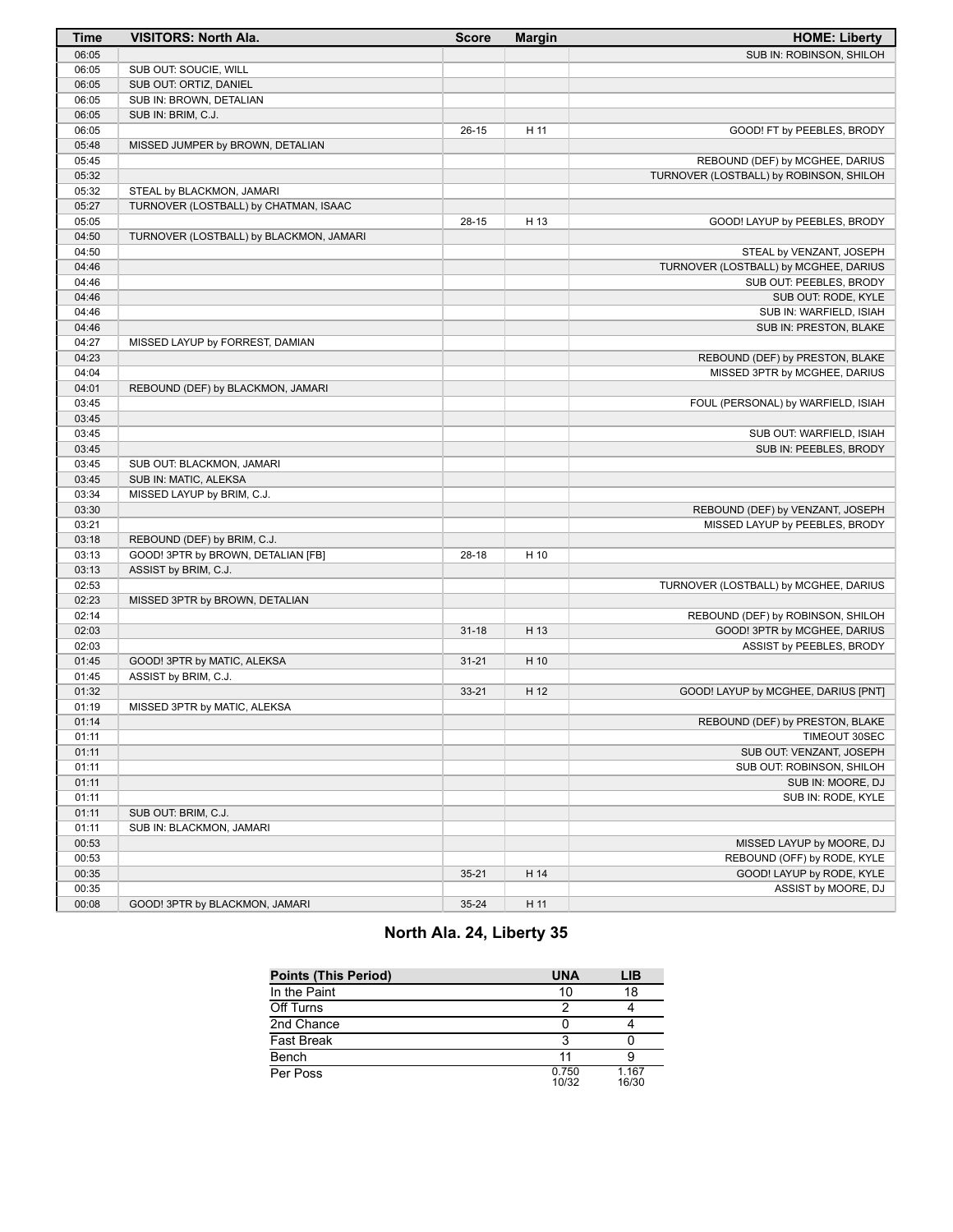| <b>Time</b>    | <b>VISITORS: North Ala.</b>             | <b>Score</b> | <b>Margin</b> | <b>HOME: Liberty</b>                                             |
|----------------|-----------------------------------------|--------------|---------------|------------------------------------------------------------------|
| 06:05          |                                         |              |               | SUB IN: ROBINSON, SHILOH                                         |
| 06:05          | SUB OUT: SOUCIE, WILL                   |              |               |                                                                  |
| 06:05          | SUB OUT: ORTIZ, DANIEL                  |              |               |                                                                  |
| 06:05          | SUB IN: BROWN, DETALIAN                 |              |               |                                                                  |
| 06:05          | SUB IN: BRIM, C.J.                      |              |               |                                                                  |
| 06:05          |                                         | $26-15$      | H 11          | GOOD! FT by PEEBLES, BRODY                                       |
| 05:48          | MISSED JUMPER by BROWN, DETALIAN        |              |               |                                                                  |
| 05:45          |                                         |              |               | REBOUND (DEF) by MCGHEE, DARIUS                                  |
| 05:32          |                                         |              |               | TURNOVER (LOSTBALL) by ROBINSON, SHILOH                          |
| 05:32          | STEAL by BLACKMON, JAMARI               |              |               |                                                                  |
| 05:27          | TURNOVER (LOSTBALL) by CHATMAN, ISAAC   |              |               |                                                                  |
| 05:05          |                                         | 28-15        | H 13          | GOOD! LAYUP by PEEBLES, BRODY                                    |
| 04:50          | TURNOVER (LOSTBALL) by BLACKMON, JAMARI |              |               |                                                                  |
| 04:50          |                                         |              |               | STEAL by VENZANT, JOSEPH                                         |
| 04:46          |                                         |              |               | TURNOVER (LOSTBALL) by MCGHEE, DARIUS                            |
| 04:46          |                                         |              |               | SUB OUT: PEEBLES, BRODY                                          |
| 04:46          |                                         |              |               | SUB OUT: RODE, KYLE                                              |
| 04:46          |                                         |              |               | SUB IN: WARFIELD, ISIAH                                          |
| 04:46          |                                         |              |               | SUB IN: PRESTON, BLAKE                                           |
| 04:27          | MISSED LAYUP by FORREST, DAMIAN         |              |               |                                                                  |
| 04:23<br>04:04 |                                         |              |               | REBOUND (DEF) by PRESTON, BLAKE<br>MISSED 3PTR by MCGHEE, DARIUS |
| 04:01          | REBOUND (DEF) by BLACKMON, JAMARI       |              |               |                                                                  |
| 03:45          |                                         |              |               | FOUL (PERSONAL) by WARFIELD, ISIAH                               |
| 03:45          |                                         |              |               |                                                                  |
| 03:45          |                                         |              |               | SUB OUT: WARFIELD, ISIAH                                         |
| 03:45          |                                         |              |               | SUB IN: PEEBLES, BRODY                                           |
| 03:45          | SUB OUT: BLACKMON, JAMARI               |              |               |                                                                  |
| 03:45          | SUB IN: MATIC, ALEKSA                   |              |               |                                                                  |
| 03:34          | MISSED LAYUP by BRIM, C.J.              |              |               |                                                                  |
| 03:30          |                                         |              |               | REBOUND (DEF) by VENZANT, JOSEPH                                 |
| 03:21          |                                         |              |               | MISSED LAYUP by PEEBLES, BRODY                                   |
| 03:18          | REBOUND (DEF) by BRIM, C.J.             |              |               |                                                                  |
| 03:13          | GOOD! 3PTR by BROWN, DETALIAN [FB]      | $28-18$      | H 10          |                                                                  |
| 03:13          | ASSIST by BRIM, C.J.                    |              |               |                                                                  |
| 02:53          |                                         |              |               | TURNOVER (LOSTBALL) by MCGHEE, DARIUS                            |
| 02:23          | MISSED 3PTR by BROWN, DETALIAN          |              |               |                                                                  |
| 02:14          |                                         |              |               | REBOUND (DEF) by ROBINSON, SHILOH                                |
| 02:03          |                                         | $31 - 18$    | H 13          | GOOD! 3PTR by MCGHEE, DARIUS                                     |
| 02:03          |                                         |              |               | ASSIST by PEEBLES, BRODY                                         |
| 01:45          | GOOD! 3PTR by MATIC, ALEKSA             | $31 - 21$    | H 10          |                                                                  |
| 01:45          | ASSIST by BRIM, C.J.                    |              |               |                                                                  |
| 01:32          |                                         | $33 - 21$    | H 12          | GOOD! LAYUP by MCGHEE, DARIUS [PNT]                              |
| 01:19          | MISSED 3PTR by MATIC, ALEKSA            |              |               |                                                                  |
| 01:14          |                                         |              |               | REBOUND (DEF) by PRESTON, BLAKE                                  |
| 01:11          |                                         |              |               | TIMEOUT 30SEC                                                    |
| 01:11          |                                         |              |               | SUB OUT: VENZANT, JOSEPH                                         |
| 01:11          |                                         |              |               | SUB OUT: ROBINSON, SHILOH                                        |
| 01:11          |                                         |              |               | SUB IN: MOORE, DJ                                                |
| 01:11          |                                         |              |               | SUB IN: RODE, KYLE                                               |
| 01:11          | SUB OUT: BRIM, C.J.                     |              |               |                                                                  |
| 01:11          | SUB IN: BLACKMON, JAMARI                |              |               |                                                                  |
| 00:53          |                                         |              |               | MISSED LAYUP by MOORE, DJ                                        |
| 00:53<br>00:35 |                                         |              |               | REBOUND (OFF) by RODE, KYLE<br>GOOD! LAYUP by RODE, KYLE         |
| 00:35          |                                         | $35 - 21$    | H 14          | ASSIST by MOORE, DJ                                              |
| 00:08          | GOOD! 3PTR by BLACKMON, JAMARI          | 35-24        | H 11          |                                                                  |
|                |                                         |              |               |                                                                  |

# **North Ala. 24, Liberty 35**

| <b>Points (This Period)</b> | <b>UNA</b>     | LIB            |
|-----------------------------|----------------|----------------|
| In the Paint                | 10             | 18             |
| Off Turns                   | っ              |                |
| 2nd Chance                  |                |                |
| <b>Fast Break</b>           | 3              |                |
| Bench                       |                |                |
| Per Poss                    | 0.750<br>10/32 | 1.167<br>16/30 |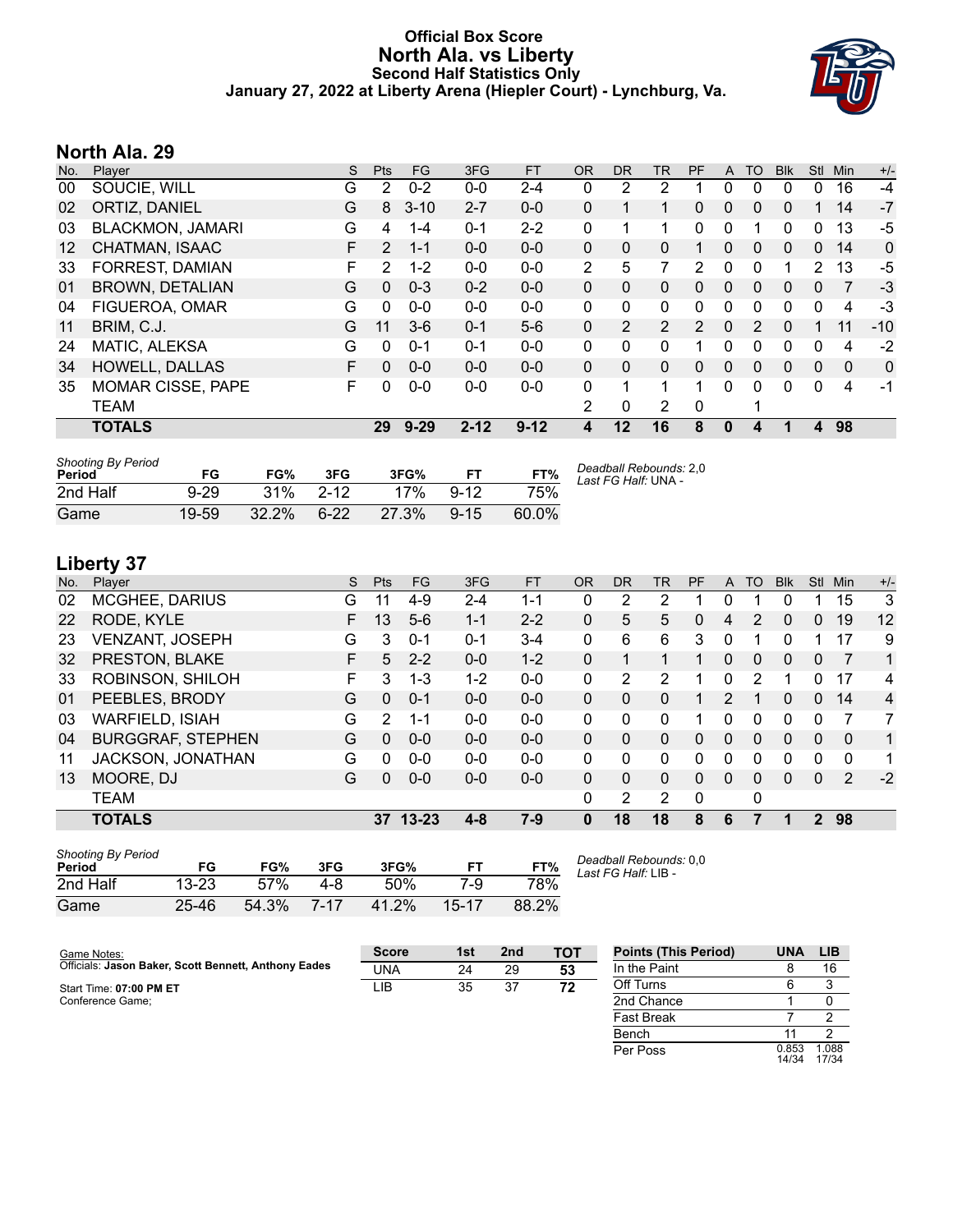#### **Official Box Score North Ala. vs Liberty Second Half Statistics Only January 27, 2022 at Liberty Arena (Hiepler Court) - Lynchburg, Va.**



### **North Ala. 29**

| No.     | Player                   | S  | <b>Pts</b>            | <b>FG</b> | 3FG      | <b>FT</b> | 0R           | <b>DR</b>      | <b>TR</b>    | <b>PF</b>     | A        | TO       | <b>Blk</b> | <b>Stl</b>   | Min          | $+/-$ |
|---------|--------------------------|----|-----------------------|-----------|----------|-----------|--------------|----------------|--------------|---------------|----------|----------|------------|--------------|--------------|-------|
| 00      | SOUCIE, WILL             | G  | $\mathbf{2}^{\prime}$ | $0 - 2$   | $0-0$    | $2 - 4$   | 0            | 2              | 2            |               | 0        | 0        | 0          | $\Omega$     | 16           | -4    |
| 02      | ORTIZ, DANIEL            | G  | 8                     | $3 - 10$  | $2 - 7$  | $0 - 0$   | 0            |                |              | 0             | 0        | 0        | 0          |              | 14           | $-7$  |
| 03      | <b>BLACKMON, JAMARI</b>  | G  | 4                     | $1 - 4$   | $0 - 1$  | $2 - 2$   | 0            |                |              | 0             | 0        |          | 0          | $\Omega$     | 13           | $-5$  |
| $12 \,$ | CHATMAN, ISAAC           | F. | $\overline{2}$        | $1 - 1$   | $0 - 0$  | $0 - 0$   | $\mathbf{0}$ | 0              | $\Omega$     |               | 0        | 0        | 0          | $\Omega$     | 14           | 0     |
| 33      | FORREST, DAMIAN          | F  | $\overline{2}$        | $1 - 2$   | $0 - 0$  | $0 - 0$   | 2            | 5              | 7            | 2             | $\Omega$ | $\Omega$ |            | 2            | 13           | -5    |
| 01      | <b>BROWN, DETALIAN</b>   | G  | $\mathbf{0}$          | $0 - 3$   | $0 - 2$  | $0 - 0$   | $\mathbf{0}$ | $\mathbf{0}$   | 0            | 0             | 0        | 0        | 0          | $\mathbf{0}$ | 7            | -3    |
| 04      | FIGUEROA, OMAR           | G  | $\Omega$              | $0 - 0$   | $0 - 0$  | $0 - 0$   | 0            | 0              | $\mathbf{0}$ | 0             | 0        | 0        | 0          | 0            | 4            | -3    |
| 11      | BRIM, C.J.               | G  | 11                    | $3-6$     | $0 - 1$  | $5-6$     | 0            | $\overline{2}$ | 2            | $\mathcal{P}$ | 0        | 2        | 0          |              | 11           | $-10$ |
| 24      | MATIC, ALEKSA            | G  | 0                     | $0 - 1$   | $0 - 1$  | $0 - 0$   | 0            | 0              | 0            |               | 0        | 0        | 0          | 0            | 4            | $-2$  |
| 34      | <b>HOWELL, DALLAS</b>    | F  | $\Omega$              | $0 - 0$   | $0 - 0$  | $0 - 0$   | $\mathbf{0}$ | $\mathbf{0}$   | 0            | 0             | $\Omega$ | 0        | 0          | $\Omega$     | $\mathbf{0}$ | 0     |
| 35      | <b>MOMAR CISSE, PAPE</b> | F  | $\Omega$              | $0 - 0$   | $0-0$    | $0 - 0$   | 0            | 1              | 1            | 1             | 0        | 0        | 0          | $\Omega$     | 4            | -1    |
|         | <b>TEAM</b>              |    |                       |           |          |           | 2            | 0              | 2            | 0             |          |          |            |              |              |       |
|         | <b>TOTALS</b>            |    | 29                    | $9 - 29$  | $2 - 12$ | $9 - 12$  | 4            | $12 \,$        | 16           | 8             | $\bf{0}$ | 4        |            | 4            | 98           |       |

| <b>Shooting By Period</b><br>Period | FG       | FG%      | 3FG      | 3FG%  | FT       | FT%   | Deadball Rebounds: 2,0<br>Last FG Half: UNA - |
|-------------------------------------|----------|----------|----------|-------|----------|-------|-----------------------------------------------|
| 2nd Half                            | $9 - 29$ | 31%      | $2 - 12$ | 17%   | $9 - 12$ | 75%   |                                               |
| Game                                | 19-59    | $32.2\%$ | $6-22$   | 27.3% | $9 - 15$ | 60.0% |                                               |

# **Liberty 37**

| No. | -<br>Plaver              | S. | <b>Pts</b>      | <b>FG</b> | 3FG     | <b>FT</b> | <b>OR</b>    | DR       | TR | PF           | A            | TO       | <b>Blk</b> | Stl          | Min         | $+/-$ |
|-----|--------------------------|----|-----------------|-----------|---------|-----------|--------------|----------|----|--------------|--------------|----------|------------|--------------|-------------|-------|
| 02  | <b>MCGHEE, DARIUS</b>    | G  | 11              | $4 - 9$   | $2 - 4$ | 1-1       | 0            | 2        | 2  |              | 0            |          | 0          |              | 15          | 3     |
| 22  | RODE, KYLE               | F. | 13              | $5-6$     | $1 - 1$ | $2 - 2$   | $\Omega$     | 5        | 5  | 0            | 4            | 2        | 0          | $\Omega$     | 19          | 12    |
| 23  | <b>VENZANT, JOSEPH</b>   | G  | 3               | $0 - 1$   | $0 - 1$ | $3 - 4$   | $\mathbf{0}$ | 6        | 6  | 3            | 0            |          | 0          |              | 17          | 9     |
| 32  | PRESTON, BLAKE           | F  | 5               | $2 - 2$   | $0 - 0$ | $1 - 2$   | $\Omega$     |          | 1  |              | $\mathbf{0}$ | 0        | $\Omega$   | $\mathbf{0}$ | 7           | 1     |
| 33  | ROBINSON, SHILOH         | F  | 3               | 1-3       | $1 - 2$ | $0 - 0$   | $\mathbf{0}$ | 2        | 2  |              | $\Omega$     | 2        |            | 0            | 17          | 4     |
| 01  | PEEBLES, BRODY           | G  | $\Omega$        | $0 - 1$   | $0 - 0$ | $0 - 0$   | $\Omega$     | 0        | 0  |              | 2            |          | 0          | $\Omega$     | 14          | 4     |
| 03  | <b>WARFIELD, ISIAH</b>   | G  | 2               | 1-1       | $0 - 0$ | $0 - 0$   | $\Omega$     | 0        | 0  |              | 0            | $\Omega$ | 0          | 0            | 7           | 7     |
| 04  | <b>BURGGRAF, STEPHEN</b> | G  | $\Omega$        | $0 - 0$   | $0 - 0$ | $0 - 0$   | $\Omega$     | $\Omega$ | 0  | 0            | $\Omega$     | $\Omega$ | $\Omega$   | $\Omega$     | $\Omega$    | 1     |
| 11  | JACKSON, JONATHAN        | G  | 0               | $0 - 0$   | $0 - 0$ | $0 - 0$   | $\Omega$     | $\Omega$ | 0  | 0            | $\Omega$     | $\Omega$ | 0          | $\Omega$     | $\mathbf 0$ | 1     |
| 13  | MOORE, DJ                | G  | $\Omega$        | $0 - 0$   | $0 - 0$ | $0 - 0$   | $\Omega$     | $\Omega$ | 0  | 0            | $\Omega$     | $\Omega$ | $\Omega$   | $\Omega$     | 2           | $-2$  |
|     | <b>TEAM</b>              |    |                 |           |         |           | $\Omega$     | 2        | 2  | $\mathbf{0}$ |              | 0        |            |              |             |       |
|     | <b>TOTALS</b>            |    | 37 <sup>2</sup> | 13-23     | $4 - 8$ | $7-9$     | $\bf{0}$     | 18       | 18 | 8            | 6            |          |            | $2^{\circ}$  | 98          |       |
|     |                          |    |                 |           |         |           |              |          |    |              |              |          |            |              |             |       |

| <b>Shooting By Period</b><br>Period | FG        | FG%   | 3FG  | 3FG%  | FТ    | FT%   |
|-------------------------------------|-----------|-------|------|-------|-------|-------|
| 2nd Half                            | $13 - 23$ | 57%   | 4-8  | 50%   | 7-9   | 78%   |
| Game                                | 25-46     | 54.3% | 7-17 | 41.2% | 15-17 | 88.2% |

*Deadball Rebounds:* 0,0 *Last FG Half:* LIB -

| Game Notes:                                          | <b>Score</b> | 1st | 2 <sub>nd</sub> | <b>TOT</b> | <b>Points (This Period)</b> | <b>UNA</b>     | <b>LIB</b>     |
|------------------------------------------------------|--------------|-----|-----------------|------------|-----------------------------|----------------|----------------|
| Officials: Jason Baker, Scott Bennett, Anthony Eades | <b>UNA</b>   | 24  | 29              | 53         | In the Paint                |                | 16             |
| Start Time: 07:00 PM ET                              | LIB          | 35  | 37              | 72         | Off Turns                   |                |                |
| Conference Game:                                     |              |     |                 |            | 2nd Chance                  |                |                |
|                                                      |              |     |                 |            | Fast Break                  |                |                |
|                                                      |              |     |                 |            | Bench                       |                |                |
|                                                      |              |     |                 |            | Per Poss                    | 0.853<br>14/34 | 1.088<br>17/34 |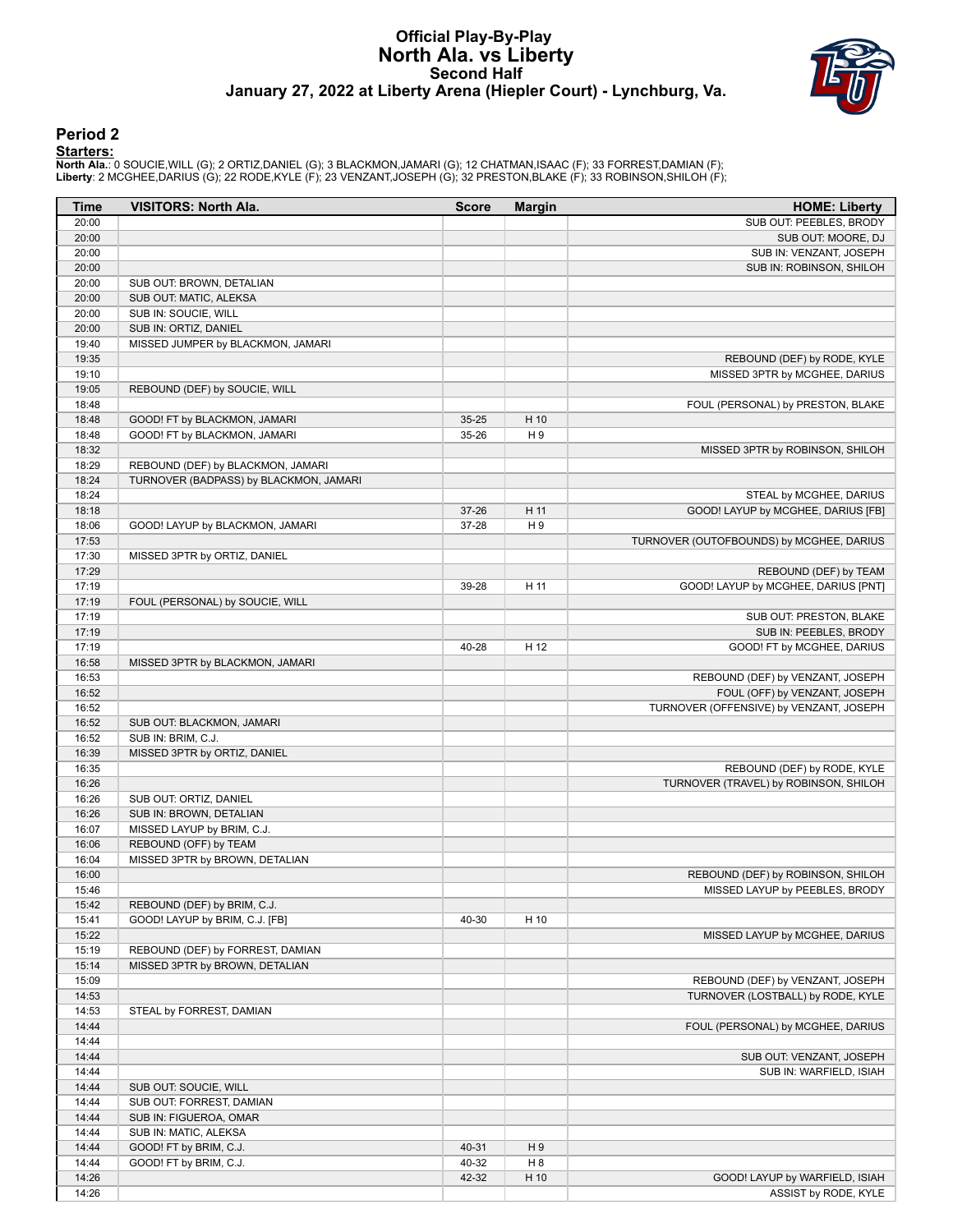### **Official Play-By-Play North Ala. vs Liberty Second Half January 27, 2022 at Liberty Arena (Hiepler Court) - Lynchburg, Va.**



#### **Period 2**

<mark>Starters :</mark><br>North Ala.: 0 SOUCIE,WILL (G); 2 ORTIZ,DANIEL (G); 3 BLACKMON,JAMARI (G); 12 CHATMAN,ISAAC (F); 33 FORREST,DAMIAN (F);<br>Liberty: 2 MCGHEE,DARIUS (G); 22 RODE,KYLE (F); 23 VENZANT,JOSEPH (G); 32 PRESTON,BLAKE (F

| SUB OUT: PEEBLES, BRODY<br>20:00<br>20:00<br>SUB OUT: MOORE, DJ<br>20:00<br>SUB IN: VENZANT, JOSEPH<br>20:00<br>SUB IN: ROBINSON, SHILOH<br>20:00<br>SUB OUT: BROWN, DETALIAN<br>20:00<br>SUB OUT: MATIC, ALEKSA<br>20:00<br>SUB IN: SOUCIE, WILL<br>20:00<br>SUB IN: ORTIZ, DANIEL<br>19:40<br>MISSED JUMPER by BLACKMON, JAMARI<br>19:35<br>REBOUND (DEF) by RODE, KYLE<br>19:10<br>MISSED 3PTR by MCGHEE, DARIUS<br>19:05<br>REBOUND (DEF) by SOUCIE, WILL<br>18:48<br>FOUL (PERSONAL) by PRESTON, BLAKE<br>18:48<br>GOOD! FT by BLACKMON, JAMARI<br>$35 - 25$<br>H 10<br>18:48<br>GOOD! FT by BLACKMON, JAMARI<br>H9<br>35-26<br>18:32<br>MISSED 3PTR by ROBINSON, SHILOH<br>18:29<br>REBOUND (DEF) by BLACKMON, JAMARI<br>18:24<br>TURNOVER (BADPASS) by BLACKMON, JAMARI<br>18:24<br>STEAL by MCGHEE, DARIUS<br>18:18<br>H 11<br>GOOD! LAYUP by MCGHEE, DARIUS [FB]<br>$37 - 26$<br>18:06<br>H <sub>9</sub><br>GOOD! LAYUP by BLACKMON, JAMARI<br>37-28<br>17:53<br>TURNOVER (OUTOFBOUNDS) by MCGHEE, DARIUS<br>17:30<br>MISSED 3PTR by ORTIZ, DANIEL<br>17:29<br>REBOUND (DEF) by TEAM<br>17:19<br>H 11<br>GOOD! LAYUP by MCGHEE, DARIUS [PNT]<br>39-28<br>17:19<br>FOUL (PERSONAL) by SOUCIE, WILL<br>17:19<br>SUB OUT: PRESTON, BLAKE<br>17:19<br>SUB IN: PEEBLES, BRODY<br>17:19<br>H 12<br>40-28<br>GOOD! FT by MCGHEE, DARIUS<br>16:58<br>MISSED 3PTR by BLACKMON, JAMARI<br>16:53<br>REBOUND (DEF) by VENZANT, JOSEPH<br>16:52<br>FOUL (OFF) by VENZANT, JOSEPH<br>16:52<br>TURNOVER (OFFENSIVE) by VENZANT, JOSEPH<br>16:52<br>SUB OUT: BLACKMON, JAMARI<br>16:52<br>SUB IN: BRIM, C.J.<br>16:39<br>MISSED 3PTR by ORTIZ, DANIEL<br>16:35<br>REBOUND (DEF) by RODE, KYLE<br>16:26<br>TURNOVER (TRAVEL) by ROBINSON, SHILOH<br>16:26<br>SUB OUT: ORTIZ, DANIEL<br>16:26<br>SUB IN: BROWN, DETALIAN<br>16:07<br>MISSED LAYUP by BRIM, C.J.<br>16:06<br>REBOUND (OFF) by TEAM<br>16:04<br>MISSED 3PTR by BROWN, DETALIAN<br>16:00<br>REBOUND (DEF) by ROBINSON, SHILOH<br>15:46<br>MISSED LAYUP by PEEBLES, BRODY<br>15:42<br>REBOUND (DEF) by BRIM, C.J.<br>GOOD! LAYUP by BRIM, C.J. [FB]<br>15:41<br>40-30<br>H 10<br>15:22<br>MISSED LAYUP by MCGHEE, DARIUS<br>15:19<br>REBOUND (DEF) by FORREST, DAMIAN<br>15:14<br>MISSED 3PTR by BROWN, DETALIAN<br>15:09<br>REBOUND (DEF) by VENZANT, JOSEPH<br>14:53<br>TURNOVER (LOSTBALL) by RODE, KYLE<br>14:53<br>STEAL by FORREST, DAMIAN<br>14:44<br>FOUL (PERSONAL) by MCGHEE, DARIUS<br>14:44<br>14:44<br>SUB OUT: VENZANT, JOSEPH<br>14:44<br>SUB IN: WARFIELD, ISIAH<br>14:44<br>SUB OUT: SOUCIE, WILL<br>14:44<br>SUB OUT: FORREST, DAMIAN<br>14:44<br>SUB IN: FIGUEROA, OMAR<br>14:44<br>SUB IN: MATIC, ALEKSA<br>14:44<br>GOOD! FT by BRIM, C.J.<br>40-31<br>H9<br>14:44<br>GOOD! FT by BRIM, C.J.<br>40-32<br>H 8<br>14:26<br>GOOD! LAYUP by WARFIELD, ISIAH<br>42-32<br>H 10<br>14:26<br>ASSIST by RODE, KYLE | Time | <b>VISITORS: North Ala.</b> | <b>Score</b> | <b>Margin</b> | <b>HOME: Liberty</b> |
|-----------------------------------------------------------------------------------------------------------------------------------------------------------------------------------------------------------------------------------------------------------------------------------------------------------------------------------------------------------------------------------------------------------------------------------------------------------------------------------------------------------------------------------------------------------------------------------------------------------------------------------------------------------------------------------------------------------------------------------------------------------------------------------------------------------------------------------------------------------------------------------------------------------------------------------------------------------------------------------------------------------------------------------------------------------------------------------------------------------------------------------------------------------------------------------------------------------------------------------------------------------------------------------------------------------------------------------------------------------------------------------------------------------------------------------------------------------------------------------------------------------------------------------------------------------------------------------------------------------------------------------------------------------------------------------------------------------------------------------------------------------------------------------------------------------------------------------------------------------------------------------------------------------------------------------------------------------------------------------------------------------------------------------------------------------------------------------------------------------------------------------------------------------------------------------------------------------------------------------------------------------------------------------------------------------------------------------------------------------------------------------------------------------------------------------------------------------------------------------------------------------------------------------------------------------------------------------------------------------------------------------------------------------------------------------------------------------------------------------------------------------------------------------------------------------------------------------------------------------------------------------|------|-----------------------------|--------------|---------------|----------------------|
|                                                                                                                                                                                                                                                                                                                                                                                                                                                                                                                                                                                                                                                                                                                                                                                                                                                                                                                                                                                                                                                                                                                                                                                                                                                                                                                                                                                                                                                                                                                                                                                                                                                                                                                                                                                                                                                                                                                                                                                                                                                                                                                                                                                                                                                                                                                                                                                                                                                                                                                                                                                                                                                                                                                                                                                                                                                                                   |      |                             |              |               |                      |
|                                                                                                                                                                                                                                                                                                                                                                                                                                                                                                                                                                                                                                                                                                                                                                                                                                                                                                                                                                                                                                                                                                                                                                                                                                                                                                                                                                                                                                                                                                                                                                                                                                                                                                                                                                                                                                                                                                                                                                                                                                                                                                                                                                                                                                                                                                                                                                                                                                                                                                                                                                                                                                                                                                                                                                                                                                                                                   |      |                             |              |               |                      |
|                                                                                                                                                                                                                                                                                                                                                                                                                                                                                                                                                                                                                                                                                                                                                                                                                                                                                                                                                                                                                                                                                                                                                                                                                                                                                                                                                                                                                                                                                                                                                                                                                                                                                                                                                                                                                                                                                                                                                                                                                                                                                                                                                                                                                                                                                                                                                                                                                                                                                                                                                                                                                                                                                                                                                                                                                                                                                   |      |                             |              |               |                      |
|                                                                                                                                                                                                                                                                                                                                                                                                                                                                                                                                                                                                                                                                                                                                                                                                                                                                                                                                                                                                                                                                                                                                                                                                                                                                                                                                                                                                                                                                                                                                                                                                                                                                                                                                                                                                                                                                                                                                                                                                                                                                                                                                                                                                                                                                                                                                                                                                                                                                                                                                                                                                                                                                                                                                                                                                                                                                                   |      |                             |              |               |                      |
|                                                                                                                                                                                                                                                                                                                                                                                                                                                                                                                                                                                                                                                                                                                                                                                                                                                                                                                                                                                                                                                                                                                                                                                                                                                                                                                                                                                                                                                                                                                                                                                                                                                                                                                                                                                                                                                                                                                                                                                                                                                                                                                                                                                                                                                                                                                                                                                                                                                                                                                                                                                                                                                                                                                                                                                                                                                                                   |      |                             |              |               |                      |
|                                                                                                                                                                                                                                                                                                                                                                                                                                                                                                                                                                                                                                                                                                                                                                                                                                                                                                                                                                                                                                                                                                                                                                                                                                                                                                                                                                                                                                                                                                                                                                                                                                                                                                                                                                                                                                                                                                                                                                                                                                                                                                                                                                                                                                                                                                                                                                                                                                                                                                                                                                                                                                                                                                                                                                                                                                                                                   |      |                             |              |               |                      |
|                                                                                                                                                                                                                                                                                                                                                                                                                                                                                                                                                                                                                                                                                                                                                                                                                                                                                                                                                                                                                                                                                                                                                                                                                                                                                                                                                                                                                                                                                                                                                                                                                                                                                                                                                                                                                                                                                                                                                                                                                                                                                                                                                                                                                                                                                                                                                                                                                                                                                                                                                                                                                                                                                                                                                                                                                                                                                   |      |                             |              |               |                      |
|                                                                                                                                                                                                                                                                                                                                                                                                                                                                                                                                                                                                                                                                                                                                                                                                                                                                                                                                                                                                                                                                                                                                                                                                                                                                                                                                                                                                                                                                                                                                                                                                                                                                                                                                                                                                                                                                                                                                                                                                                                                                                                                                                                                                                                                                                                                                                                                                                                                                                                                                                                                                                                                                                                                                                                                                                                                                                   |      |                             |              |               |                      |
|                                                                                                                                                                                                                                                                                                                                                                                                                                                                                                                                                                                                                                                                                                                                                                                                                                                                                                                                                                                                                                                                                                                                                                                                                                                                                                                                                                                                                                                                                                                                                                                                                                                                                                                                                                                                                                                                                                                                                                                                                                                                                                                                                                                                                                                                                                                                                                                                                                                                                                                                                                                                                                                                                                                                                                                                                                                                                   |      |                             |              |               |                      |
|                                                                                                                                                                                                                                                                                                                                                                                                                                                                                                                                                                                                                                                                                                                                                                                                                                                                                                                                                                                                                                                                                                                                                                                                                                                                                                                                                                                                                                                                                                                                                                                                                                                                                                                                                                                                                                                                                                                                                                                                                                                                                                                                                                                                                                                                                                                                                                                                                                                                                                                                                                                                                                                                                                                                                                                                                                                                                   |      |                             |              |               |                      |
|                                                                                                                                                                                                                                                                                                                                                                                                                                                                                                                                                                                                                                                                                                                                                                                                                                                                                                                                                                                                                                                                                                                                                                                                                                                                                                                                                                                                                                                                                                                                                                                                                                                                                                                                                                                                                                                                                                                                                                                                                                                                                                                                                                                                                                                                                                                                                                                                                                                                                                                                                                                                                                                                                                                                                                                                                                                                                   |      |                             |              |               |                      |
|                                                                                                                                                                                                                                                                                                                                                                                                                                                                                                                                                                                                                                                                                                                                                                                                                                                                                                                                                                                                                                                                                                                                                                                                                                                                                                                                                                                                                                                                                                                                                                                                                                                                                                                                                                                                                                                                                                                                                                                                                                                                                                                                                                                                                                                                                                                                                                                                                                                                                                                                                                                                                                                                                                                                                                                                                                                                                   |      |                             |              |               |                      |
|                                                                                                                                                                                                                                                                                                                                                                                                                                                                                                                                                                                                                                                                                                                                                                                                                                                                                                                                                                                                                                                                                                                                                                                                                                                                                                                                                                                                                                                                                                                                                                                                                                                                                                                                                                                                                                                                                                                                                                                                                                                                                                                                                                                                                                                                                                                                                                                                                                                                                                                                                                                                                                                                                                                                                                                                                                                                                   |      |                             |              |               |                      |
|                                                                                                                                                                                                                                                                                                                                                                                                                                                                                                                                                                                                                                                                                                                                                                                                                                                                                                                                                                                                                                                                                                                                                                                                                                                                                                                                                                                                                                                                                                                                                                                                                                                                                                                                                                                                                                                                                                                                                                                                                                                                                                                                                                                                                                                                                                                                                                                                                                                                                                                                                                                                                                                                                                                                                                                                                                                                                   |      |                             |              |               |                      |
|                                                                                                                                                                                                                                                                                                                                                                                                                                                                                                                                                                                                                                                                                                                                                                                                                                                                                                                                                                                                                                                                                                                                                                                                                                                                                                                                                                                                                                                                                                                                                                                                                                                                                                                                                                                                                                                                                                                                                                                                                                                                                                                                                                                                                                                                                                                                                                                                                                                                                                                                                                                                                                                                                                                                                                                                                                                                                   |      |                             |              |               |                      |
|                                                                                                                                                                                                                                                                                                                                                                                                                                                                                                                                                                                                                                                                                                                                                                                                                                                                                                                                                                                                                                                                                                                                                                                                                                                                                                                                                                                                                                                                                                                                                                                                                                                                                                                                                                                                                                                                                                                                                                                                                                                                                                                                                                                                                                                                                                                                                                                                                                                                                                                                                                                                                                                                                                                                                                                                                                                                                   |      |                             |              |               |                      |
|                                                                                                                                                                                                                                                                                                                                                                                                                                                                                                                                                                                                                                                                                                                                                                                                                                                                                                                                                                                                                                                                                                                                                                                                                                                                                                                                                                                                                                                                                                                                                                                                                                                                                                                                                                                                                                                                                                                                                                                                                                                                                                                                                                                                                                                                                                                                                                                                                                                                                                                                                                                                                                                                                                                                                                                                                                                                                   |      |                             |              |               |                      |
|                                                                                                                                                                                                                                                                                                                                                                                                                                                                                                                                                                                                                                                                                                                                                                                                                                                                                                                                                                                                                                                                                                                                                                                                                                                                                                                                                                                                                                                                                                                                                                                                                                                                                                                                                                                                                                                                                                                                                                                                                                                                                                                                                                                                                                                                                                                                                                                                                                                                                                                                                                                                                                                                                                                                                                                                                                                                                   |      |                             |              |               |                      |
|                                                                                                                                                                                                                                                                                                                                                                                                                                                                                                                                                                                                                                                                                                                                                                                                                                                                                                                                                                                                                                                                                                                                                                                                                                                                                                                                                                                                                                                                                                                                                                                                                                                                                                                                                                                                                                                                                                                                                                                                                                                                                                                                                                                                                                                                                                                                                                                                                                                                                                                                                                                                                                                                                                                                                                                                                                                                                   |      |                             |              |               |                      |
|                                                                                                                                                                                                                                                                                                                                                                                                                                                                                                                                                                                                                                                                                                                                                                                                                                                                                                                                                                                                                                                                                                                                                                                                                                                                                                                                                                                                                                                                                                                                                                                                                                                                                                                                                                                                                                                                                                                                                                                                                                                                                                                                                                                                                                                                                                                                                                                                                                                                                                                                                                                                                                                                                                                                                                                                                                                                                   |      |                             |              |               |                      |
|                                                                                                                                                                                                                                                                                                                                                                                                                                                                                                                                                                                                                                                                                                                                                                                                                                                                                                                                                                                                                                                                                                                                                                                                                                                                                                                                                                                                                                                                                                                                                                                                                                                                                                                                                                                                                                                                                                                                                                                                                                                                                                                                                                                                                                                                                                                                                                                                                                                                                                                                                                                                                                                                                                                                                                                                                                                                                   |      |                             |              |               |                      |
|                                                                                                                                                                                                                                                                                                                                                                                                                                                                                                                                                                                                                                                                                                                                                                                                                                                                                                                                                                                                                                                                                                                                                                                                                                                                                                                                                                                                                                                                                                                                                                                                                                                                                                                                                                                                                                                                                                                                                                                                                                                                                                                                                                                                                                                                                                                                                                                                                                                                                                                                                                                                                                                                                                                                                                                                                                                                                   |      |                             |              |               |                      |
|                                                                                                                                                                                                                                                                                                                                                                                                                                                                                                                                                                                                                                                                                                                                                                                                                                                                                                                                                                                                                                                                                                                                                                                                                                                                                                                                                                                                                                                                                                                                                                                                                                                                                                                                                                                                                                                                                                                                                                                                                                                                                                                                                                                                                                                                                                                                                                                                                                                                                                                                                                                                                                                                                                                                                                                                                                                                                   |      |                             |              |               |                      |
|                                                                                                                                                                                                                                                                                                                                                                                                                                                                                                                                                                                                                                                                                                                                                                                                                                                                                                                                                                                                                                                                                                                                                                                                                                                                                                                                                                                                                                                                                                                                                                                                                                                                                                                                                                                                                                                                                                                                                                                                                                                                                                                                                                                                                                                                                                                                                                                                                                                                                                                                                                                                                                                                                                                                                                                                                                                                                   |      |                             |              |               |                      |
|                                                                                                                                                                                                                                                                                                                                                                                                                                                                                                                                                                                                                                                                                                                                                                                                                                                                                                                                                                                                                                                                                                                                                                                                                                                                                                                                                                                                                                                                                                                                                                                                                                                                                                                                                                                                                                                                                                                                                                                                                                                                                                                                                                                                                                                                                                                                                                                                                                                                                                                                                                                                                                                                                                                                                                                                                                                                                   |      |                             |              |               |                      |
|                                                                                                                                                                                                                                                                                                                                                                                                                                                                                                                                                                                                                                                                                                                                                                                                                                                                                                                                                                                                                                                                                                                                                                                                                                                                                                                                                                                                                                                                                                                                                                                                                                                                                                                                                                                                                                                                                                                                                                                                                                                                                                                                                                                                                                                                                                                                                                                                                                                                                                                                                                                                                                                                                                                                                                                                                                                                                   |      |                             |              |               |                      |
|                                                                                                                                                                                                                                                                                                                                                                                                                                                                                                                                                                                                                                                                                                                                                                                                                                                                                                                                                                                                                                                                                                                                                                                                                                                                                                                                                                                                                                                                                                                                                                                                                                                                                                                                                                                                                                                                                                                                                                                                                                                                                                                                                                                                                                                                                                                                                                                                                                                                                                                                                                                                                                                                                                                                                                                                                                                                                   |      |                             |              |               |                      |
|                                                                                                                                                                                                                                                                                                                                                                                                                                                                                                                                                                                                                                                                                                                                                                                                                                                                                                                                                                                                                                                                                                                                                                                                                                                                                                                                                                                                                                                                                                                                                                                                                                                                                                                                                                                                                                                                                                                                                                                                                                                                                                                                                                                                                                                                                                                                                                                                                                                                                                                                                                                                                                                                                                                                                                                                                                                                                   |      |                             |              |               |                      |
|                                                                                                                                                                                                                                                                                                                                                                                                                                                                                                                                                                                                                                                                                                                                                                                                                                                                                                                                                                                                                                                                                                                                                                                                                                                                                                                                                                                                                                                                                                                                                                                                                                                                                                                                                                                                                                                                                                                                                                                                                                                                                                                                                                                                                                                                                                                                                                                                                                                                                                                                                                                                                                                                                                                                                                                                                                                                                   |      |                             |              |               |                      |
|                                                                                                                                                                                                                                                                                                                                                                                                                                                                                                                                                                                                                                                                                                                                                                                                                                                                                                                                                                                                                                                                                                                                                                                                                                                                                                                                                                                                                                                                                                                                                                                                                                                                                                                                                                                                                                                                                                                                                                                                                                                                                                                                                                                                                                                                                                                                                                                                                                                                                                                                                                                                                                                                                                                                                                                                                                                                                   |      |                             |              |               |                      |
|                                                                                                                                                                                                                                                                                                                                                                                                                                                                                                                                                                                                                                                                                                                                                                                                                                                                                                                                                                                                                                                                                                                                                                                                                                                                                                                                                                                                                                                                                                                                                                                                                                                                                                                                                                                                                                                                                                                                                                                                                                                                                                                                                                                                                                                                                                                                                                                                                                                                                                                                                                                                                                                                                                                                                                                                                                                                                   |      |                             |              |               |                      |
|                                                                                                                                                                                                                                                                                                                                                                                                                                                                                                                                                                                                                                                                                                                                                                                                                                                                                                                                                                                                                                                                                                                                                                                                                                                                                                                                                                                                                                                                                                                                                                                                                                                                                                                                                                                                                                                                                                                                                                                                                                                                                                                                                                                                                                                                                                                                                                                                                                                                                                                                                                                                                                                                                                                                                                                                                                                                                   |      |                             |              |               |                      |
|                                                                                                                                                                                                                                                                                                                                                                                                                                                                                                                                                                                                                                                                                                                                                                                                                                                                                                                                                                                                                                                                                                                                                                                                                                                                                                                                                                                                                                                                                                                                                                                                                                                                                                                                                                                                                                                                                                                                                                                                                                                                                                                                                                                                                                                                                                                                                                                                                                                                                                                                                                                                                                                                                                                                                                                                                                                                                   |      |                             |              |               |                      |
|                                                                                                                                                                                                                                                                                                                                                                                                                                                                                                                                                                                                                                                                                                                                                                                                                                                                                                                                                                                                                                                                                                                                                                                                                                                                                                                                                                                                                                                                                                                                                                                                                                                                                                                                                                                                                                                                                                                                                                                                                                                                                                                                                                                                                                                                                                                                                                                                                                                                                                                                                                                                                                                                                                                                                                                                                                                                                   |      |                             |              |               |                      |
|                                                                                                                                                                                                                                                                                                                                                                                                                                                                                                                                                                                                                                                                                                                                                                                                                                                                                                                                                                                                                                                                                                                                                                                                                                                                                                                                                                                                                                                                                                                                                                                                                                                                                                                                                                                                                                                                                                                                                                                                                                                                                                                                                                                                                                                                                                                                                                                                                                                                                                                                                                                                                                                                                                                                                                                                                                                                                   |      |                             |              |               |                      |
|                                                                                                                                                                                                                                                                                                                                                                                                                                                                                                                                                                                                                                                                                                                                                                                                                                                                                                                                                                                                                                                                                                                                                                                                                                                                                                                                                                                                                                                                                                                                                                                                                                                                                                                                                                                                                                                                                                                                                                                                                                                                                                                                                                                                                                                                                                                                                                                                                                                                                                                                                                                                                                                                                                                                                                                                                                                                                   |      |                             |              |               |                      |
|                                                                                                                                                                                                                                                                                                                                                                                                                                                                                                                                                                                                                                                                                                                                                                                                                                                                                                                                                                                                                                                                                                                                                                                                                                                                                                                                                                                                                                                                                                                                                                                                                                                                                                                                                                                                                                                                                                                                                                                                                                                                                                                                                                                                                                                                                                                                                                                                                                                                                                                                                                                                                                                                                                                                                                                                                                                                                   |      |                             |              |               |                      |
|                                                                                                                                                                                                                                                                                                                                                                                                                                                                                                                                                                                                                                                                                                                                                                                                                                                                                                                                                                                                                                                                                                                                                                                                                                                                                                                                                                                                                                                                                                                                                                                                                                                                                                                                                                                                                                                                                                                                                                                                                                                                                                                                                                                                                                                                                                                                                                                                                                                                                                                                                                                                                                                                                                                                                                                                                                                                                   |      |                             |              |               |                      |
|                                                                                                                                                                                                                                                                                                                                                                                                                                                                                                                                                                                                                                                                                                                                                                                                                                                                                                                                                                                                                                                                                                                                                                                                                                                                                                                                                                                                                                                                                                                                                                                                                                                                                                                                                                                                                                                                                                                                                                                                                                                                                                                                                                                                                                                                                                                                                                                                                                                                                                                                                                                                                                                                                                                                                                                                                                                                                   |      |                             |              |               |                      |
|                                                                                                                                                                                                                                                                                                                                                                                                                                                                                                                                                                                                                                                                                                                                                                                                                                                                                                                                                                                                                                                                                                                                                                                                                                                                                                                                                                                                                                                                                                                                                                                                                                                                                                                                                                                                                                                                                                                                                                                                                                                                                                                                                                                                                                                                                                                                                                                                                                                                                                                                                                                                                                                                                                                                                                                                                                                                                   |      |                             |              |               |                      |
|                                                                                                                                                                                                                                                                                                                                                                                                                                                                                                                                                                                                                                                                                                                                                                                                                                                                                                                                                                                                                                                                                                                                                                                                                                                                                                                                                                                                                                                                                                                                                                                                                                                                                                                                                                                                                                                                                                                                                                                                                                                                                                                                                                                                                                                                                                                                                                                                                                                                                                                                                                                                                                                                                                                                                                                                                                                                                   |      |                             |              |               |                      |
|                                                                                                                                                                                                                                                                                                                                                                                                                                                                                                                                                                                                                                                                                                                                                                                                                                                                                                                                                                                                                                                                                                                                                                                                                                                                                                                                                                                                                                                                                                                                                                                                                                                                                                                                                                                                                                                                                                                                                                                                                                                                                                                                                                                                                                                                                                                                                                                                                                                                                                                                                                                                                                                                                                                                                                                                                                                                                   |      |                             |              |               |                      |
|                                                                                                                                                                                                                                                                                                                                                                                                                                                                                                                                                                                                                                                                                                                                                                                                                                                                                                                                                                                                                                                                                                                                                                                                                                                                                                                                                                                                                                                                                                                                                                                                                                                                                                                                                                                                                                                                                                                                                                                                                                                                                                                                                                                                                                                                                                                                                                                                                                                                                                                                                                                                                                                                                                                                                                                                                                                                                   |      |                             |              |               |                      |
|                                                                                                                                                                                                                                                                                                                                                                                                                                                                                                                                                                                                                                                                                                                                                                                                                                                                                                                                                                                                                                                                                                                                                                                                                                                                                                                                                                                                                                                                                                                                                                                                                                                                                                                                                                                                                                                                                                                                                                                                                                                                                                                                                                                                                                                                                                                                                                                                                                                                                                                                                                                                                                                                                                                                                                                                                                                                                   |      |                             |              |               |                      |
|                                                                                                                                                                                                                                                                                                                                                                                                                                                                                                                                                                                                                                                                                                                                                                                                                                                                                                                                                                                                                                                                                                                                                                                                                                                                                                                                                                                                                                                                                                                                                                                                                                                                                                                                                                                                                                                                                                                                                                                                                                                                                                                                                                                                                                                                                                                                                                                                                                                                                                                                                                                                                                                                                                                                                                                                                                                                                   |      |                             |              |               |                      |
|                                                                                                                                                                                                                                                                                                                                                                                                                                                                                                                                                                                                                                                                                                                                                                                                                                                                                                                                                                                                                                                                                                                                                                                                                                                                                                                                                                                                                                                                                                                                                                                                                                                                                                                                                                                                                                                                                                                                                                                                                                                                                                                                                                                                                                                                                                                                                                                                                                                                                                                                                                                                                                                                                                                                                                                                                                                                                   |      |                             |              |               |                      |
|                                                                                                                                                                                                                                                                                                                                                                                                                                                                                                                                                                                                                                                                                                                                                                                                                                                                                                                                                                                                                                                                                                                                                                                                                                                                                                                                                                                                                                                                                                                                                                                                                                                                                                                                                                                                                                                                                                                                                                                                                                                                                                                                                                                                                                                                                                                                                                                                                                                                                                                                                                                                                                                                                                                                                                                                                                                                                   |      |                             |              |               |                      |
|                                                                                                                                                                                                                                                                                                                                                                                                                                                                                                                                                                                                                                                                                                                                                                                                                                                                                                                                                                                                                                                                                                                                                                                                                                                                                                                                                                                                                                                                                                                                                                                                                                                                                                                                                                                                                                                                                                                                                                                                                                                                                                                                                                                                                                                                                                                                                                                                                                                                                                                                                                                                                                                                                                                                                                                                                                                                                   |      |                             |              |               |                      |
|                                                                                                                                                                                                                                                                                                                                                                                                                                                                                                                                                                                                                                                                                                                                                                                                                                                                                                                                                                                                                                                                                                                                                                                                                                                                                                                                                                                                                                                                                                                                                                                                                                                                                                                                                                                                                                                                                                                                                                                                                                                                                                                                                                                                                                                                                                                                                                                                                                                                                                                                                                                                                                                                                                                                                                                                                                                                                   |      |                             |              |               |                      |
|                                                                                                                                                                                                                                                                                                                                                                                                                                                                                                                                                                                                                                                                                                                                                                                                                                                                                                                                                                                                                                                                                                                                                                                                                                                                                                                                                                                                                                                                                                                                                                                                                                                                                                                                                                                                                                                                                                                                                                                                                                                                                                                                                                                                                                                                                                                                                                                                                                                                                                                                                                                                                                                                                                                                                                                                                                                                                   |      |                             |              |               |                      |
|                                                                                                                                                                                                                                                                                                                                                                                                                                                                                                                                                                                                                                                                                                                                                                                                                                                                                                                                                                                                                                                                                                                                                                                                                                                                                                                                                                                                                                                                                                                                                                                                                                                                                                                                                                                                                                                                                                                                                                                                                                                                                                                                                                                                                                                                                                                                                                                                                                                                                                                                                                                                                                                                                                                                                                                                                                                                                   |      |                             |              |               |                      |
|                                                                                                                                                                                                                                                                                                                                                                                                                                                                                                                                                                                                                                                                                                                                                                                                                                                                                                                                                                                                                                                                                                                                                                                                                                                                                                                                                                                                                                                                                                                                                                                                                                                                                                                                                                                                                                                                                                                                                                                                                                                                                                                                                                                                                                                                                                                                                                                                                                                                                                                                                                                                                                                                                                                                                                                                                                                                                   |      |                             |              |               |                      |
|                                                                                                                                                                                                                                                                                                                                                                                                                                                                                                                                                                                                                                                                                                                                                                                                                                                                                                                                                                                                                                                                                                                                                                                                                                                                                                                                                                                                                                                                                                                                                                                                                                                                                                                                                                                                                                                                                                                                                                                                                                                                                                                                                                                                                                                                                                                                                                                                                                                                                                                                                                                                                                                                                                                                                                                                                                                                                   |      |                             |              |               |                      |
|                                                                                                                                                                                                                                                                                                                                                                                                                                                                                                                                                                                                                                                                                                                                                                                                                                                                                                                                                                                                                                                                                                                                                                                                                                                                                                                                                                                                                                                                                                                                                                                                                                                                                                                                                                                                                                                                                                                                                                                                                                                                                                                                                                                                                                                                                                                                                                                                                                                                                                                                                                                                                                                                                                                                                                                                                                                                                   |      |                             |              |               |                      |
|                                                                                                                                                                                                                                                                                                                                                                                                                                                                                                                                                                                                                                                                                                                                                                                                                                                                                                                                                                                                                                                                                                                                                                                                                                                                                                                                                                                                                                                                                                                                                                                                                                                                                                                                                                                                                                                                                                                                                                                                                                                                                                                                                                                                                                                                                                                                                                                                                                                                                                                                                                                                                                                                                                                                                                                                                                                                                   |      |                             |              |               |                      |
|                                                                                                                                                                                                                                                                                                                                                                                                                                                                                                                                                                                                                                                                                                                                                                                                                                                                                                                                                                                                                                                                                                                                                                                                                                                                                                                                                                                                                                                                                                                                                                                                                                                                                                                                                                                                                                                                                                                                                                                                                                                                                                                                                                                                                                                                                                                                                                                                                                                                                                                                                                                                                                                                                                                                                                                                                                                                                   |      |                             |              |               |                      |
|                                                                                                                                                                                                                                                                                                                                                                                                                                                                                                                                                                                                                                                                                                                                                                                                                                                                                                                                                                                                                                                                                                                                                                                                                                                                                                                                                                                                                                                                                                                                                                                                                                                                                                                                                                                                                                                                                                                                                                                                                                                                                                                                                                                                                                                                                                                                                                                                                                                                                                                                                                                                                                                                                                                                                                                                                                                                                   |      |                             |              |               |                      |
|                                                                                                                                                                                                                                                                                                                                                                                                                                                                                                                                                                                                                                                                                                                                                                                                                                                                                                                                                                                                                                                                                                                                                                                                                                                                                                                                                                                                                                                                                                                                                                                                                                                                                                                                                                                                                                                                                                                                                                                                                                                                                                                                                                                                                                                                                                                                                                                                                                                                                                                                                                                                                                                                                                                                                                                                                                                                                   |      |                             |              |               |                      |
|                                                                                                                                                                                                                                                                                                                                                                                                                                                                                                                                                                                                                                                                                                                                                                                                                                                                                                                                                                                                                                                                                                                                                                                                                                                                                                                                                                                                                                                                                                                                                                                                                                                                                                                                                                                                                                                                                                                                                                                                                                                                                                                                                                                                                                                                                                                                                                                                                                                                                                                                                                                                                                                                                                                                                                                                                                                                                   |      |                             |              |               |                      |
|                                                                                                                                                                                                                                                                                                                                                                                                                                                                                                                                                                                                                                                                                                                                                                                                                                                                                                                                                                                                                                                                                                                                                                                                                                                                                                                                                                                                                                                                                                                                                                                                                                                                                                                                                                                                                                                                                                                                                                                                                                                                                                                                                                                                                                                                                                                                                                                                                                                                                                                                                                                                                                                                                                                                                                                                                                                                                   |      |                             |              |               |                      |
|                                                                                                                                                                                                                                                                                                                                                                                                                                                                                                                                                                                                                                                                                                                                                                                                                                                                                                                                                                                                                                                                                                                                                                                                                                                                                                                                                                                                                                                                                                                                                                                                                                                                                                                                                                                                                                                                                                                                                                                                                                                                                                                                                                                                                                                                                                                                                                                                                                                                                                                                                                                                                                                                                                                                                                                                                                                                                   |      |                             |              |               |                      |
|                                                                                                                                                                                                                                                                                                                                                                                                                                                                                                                                                                                                                                                                                                                                                                                                                                                                                                                                                                                                                                                                                                                                                                                                                                                                                                                                                                                                                                                                                                                                                                                                                                                                                                                                                                                                                                                                                                                                                                                                                                                                                                                                                                                                                                                                                                                                                                                                                                                                                                                                                                                                                                                                                                                                                                                                                                                                                   |      |                             |              |               |                      |
|                                                                                                                                                                                                                                                                                                                                                                                                                                                                                                                                                                                                                                                                                                                                                                                                                                                                                                                                                                                                                                                                                                                                                                                                                                                                                                                                                                                                                                                                                                                                                                                                                                                                                                                                                                                                                                                                                                                                                                                                                                                                                                                                                                                                                                                                                                                                                                                                                                                                                                                                                                                                                                                                                                                                                                                                                                                                                   |      |                             |              |               |                      |
|                                                                                                                                                                                                                                                                                                                                                                                                                                                                                                                                                                                                                                                                                                                                                                                                                                                                                                                                                                                                                                                                                                                                                                                                                                                                                                                                                                                                                                                                                                                                                                                                                                                                                                                                                                                                                                                                                                                                                                                                                                                                                                                                                                                                                                                                                                                                                                                                                                                                                                                                                                                                                                                                                                                                                                                                                                                                                   |      |                             |              |               |                      |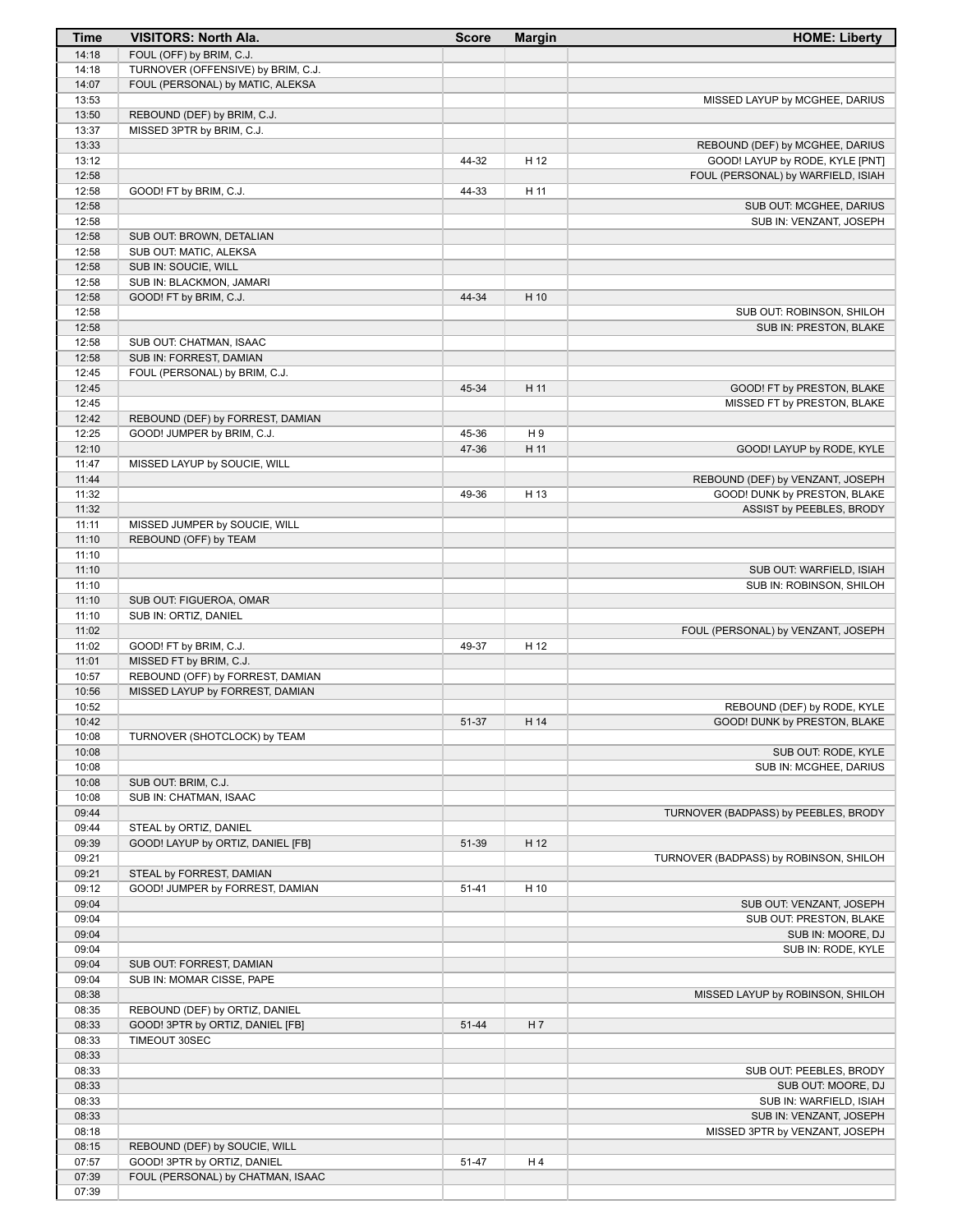| Time           | VISITORS: North Ala.                                     | <b>Score</b> | <b>Margin</b> | <b>HOME: Liberty</b>                                      |
|----------------|----------------------------------------------------------|--------------|---------------|-----------------------------------------------------------|
| 14:18          | FOUL (OFF) by BRIM, C.J.                                 |              |               |                                                           |
| 14:18          | TURNOVER (OFFENSIVE) by BRIM, C.J.                       |              |               |                                                           |
| 14:07          | FOUL (PERSONAL) by MATIC, ALEKSA                         |              |               |                                                           |
| 13:53<br>13:50 |                                                          |              |               | MISSED LAYUP by MCGHEE, DARIUS                            |
| 13:37          | REBOUND (DEF) by BRIM, C.J.<br>MISSED 3PTR by BRIM, C.J. |              |               |                                                           |
| 13:33          |                                                          |              |               | REBOUND (DEF) by MCGHEE, DARIUS                           |
| 13:12          |                                                          | 44-32        | H 12          | GOOD! LAYUP by RODE, KYLE [PNT]                           |
| 12:58          |                                                          |              |               | FOUL (PERSONAL) by WARFIELD, ISIAH                        |
| 12:58          | GOOD! FT by BRIM, C.J.                                   | 44-33        | H 11          |                                                           |
| 12:58          |                                                          |              |               | SUB OUT: MCGHEE, DARIUS                                   |
| 12:58          |                                                          |              |               | SUB IN: VENZANT, JOSEPH                                   |
| 12:58          | SUB OUT: BROWN, DETALIAN                                 |              |               |                                                           |
| 12:58<br>12:58 | SUB OUT: MATIC, ALEKSA<br>SUB IN: SOUCIE, WILL           |              |               |                                                           |
| 12:58          | SUB IN: BLACKMON, JAMARI                                 |              |               |                                                           |
| 12:58          | GOOD! FT by BRIM, C.J.                                   | 44-34        | H 10          |                                                           |
| 12:58          |                                                          |              |               | SUB OUT: ROBINSON, SHILOH                                 |
| 12:58          |                                                          |              |               | SUB IN: PRESTON, BLAKE                                    |
| 12:58          | SUB OUT: CHATMAN, ISAAC                                  |              |               |                                                           |
| 12:58          | SUB IN: FORREST, DAMIAN                                  |              |               |                                                           |
| 12:45<br>12:45 | FOUL (PERSONAL) by BRIM, C.J.                            |              |               |                                                           |
| 12:45          |                                                          | 45-34        | H 11          | GOOD! FT by PRESTON, BLAKE<br>MISSED FT by PRESTON, BLAKE |
| 12:42          | REBOUND (DEF) by FORREST, DAMIAN                         |              |               |                                                           |
| 12:25          | GOOD! JUMPER by BRIM, C.J.                               | 45-36        | H 9           |                                                           |
| 12:10          |                                                          | 47-36        | H 11          | GOOD! LAYUP by RODE, KYLE                                 |
| 11:47          | MISSED LAYUP by SOUCIE, WILL                             |              |               |                                                           |
| 11:44          |                                                          |              |               | REBOUND (DEF) by VENZANT, JOSEPH                          |
| 11:32          |                                                          | 49-36        | H 13          | GOOD! DUNK by PRESTON, BLAKE                              |
| 11:32          |                                                          |              |               | ASSIST by PEEBLES, BRODY                                  |
| 11:11<br>11:10 | MISSED JUMPER by SOUCIE, WILL<br>REBOUND (OFF) by TEAM   |              |               |                                                           |
| 11:10          |                                                          |              |               |                                                           |
| 11:10          |                                                          |              |               | SUB OUT: WARFIELD, ISIAH                                  |
| 11:10          |                                                          |              |               | SUB IN: ROBINSON, SHILOH                                  |
| 11:10          | SUB OUT: FIGUEROA, OMAR                                  |              |               |                                                           |
| 11:10          | SUB IN: ORTIZ, DANIEL                                    |              |               |                                                           |
| 11:02<br>11:02 | GOOD! FT by BRIM, C.J.                                   | 49-37        | H 12          | FOUL (PERSONAL) by VENZANT, JOSEPH                        |
| 11:01          | MISSED FT by BRIM, C.J.                                  |              |               |                                                           |
| 10:57          | REBOUND (OFF) by FORREST, DAMIAN                         |              |               |                                                           |
| 10:56          | MISSED LAYUP by FORREST, DAMIAN                          |              |               |                                                           |
| 10:52          |                                                          |              |               | REBOUND (DEF) by RODE, KYLE                               |
| 10:42          |                                                          | 51-37        | H 14          | GOOD! DUNK by PRESTON, BLAKE                              |
| 10:08<br>10:08 | TURNOVER (SHOTCLOCK) by TEAM                             |              |               | SUB OUT: RODE, KYLE                                       |
| 10:08          |                                                          |              |               | SUB IN: MCGHEE, DARIUS                                    |
| 10:08          | SUB OUT: BRIM, C.J.                                      |              |               |                                                           |
| 10:08          | SUB IN: CHATMAN, ISAAC                                   |              |               |                                                           |
| 09:44          |                                                          |              |               | TURNOVER (BADPASS) by PEEBLES, BRODY                      |
| 09:44          | STEAL by ORTIZ, DANIEL                                   |              |               |                                                           |
| 09:39          | GOOD! LAYUP by ORTIZ, DANIEL [FB]                        | 51-39        | H 12          |                                                           |
| 09:21<br>09:21 | STEAL by FORREST, DAMIAN                                 |              |               | TURNOVER (BADPASS) by ROBINSON, SHILOH                    |
| 09:12          | GOOD! JUMPER by FORREST, DAMIAN                          | $51 - 41$    | H 10          |                                                           |
| 09:04          |                                                          |              |               | SUB OUT: VENZANT, JOSEPH                                  |
| 09:04          |                                                          |              |               | SUB OUT: PRESTON, BLAKE                                   |
| 09:04          |                                                          |              |               | SUB IN: MOORE, DJ                                         |
| 09:04          |                                                          |              |               | SUB IN: RODE, KYLE                                        |
| 09:04          | SUB OUT: FORREST, DAMIAN                                 |              |               |                                                           |
| 09:04          | SUB IN: MOMAR CISSE, PAPE                                |              |               |                                                           |
| 08:38<br>08:35 | REBOUND (DEF) by ORTIZ, DANIEL                           |              |               | MISSED LAYUP by ROBINSON, SHILOH                          |
| 08:33          | GOOD! 3PTR by ORTIZ, DANIEL [FB]                         | 51-44        | H 7           |                                                           |
| 08:33          | TIMEOUT 30SEC                                            |              |               |                                                           |
| 08:33          |                                                          |              |               |                                                           |
| 08:33          |                                                          |              |               | SUB OUT: PEEBLES, BRODY                                   |
| 08:33          |                                                          |              |               | SUB OUT: MOORE, DJ                                        |
| 08:33          |                                                          |              |               | SUB IN: WARFIELD, ISIAH                                   |
| 08:33<br>08:18 |                                                          |              |               | SUB IN: VENZANT, JOSEPH<br>MISSED 3PTR by VENZANT, JOSEPH |
| 08:15          | REBOUND (DEF) by SOUCIE, WILL                            |              |               |                                                           |
| 07:57          | GOOD! 3PTR by ORTIZ, DANIEL                              | 51-47        | H4            |                                                           |
| 07:39          | FOUL (PERSONAL) by CHATMAN, ISAAC                        |              |               |                                                           |
| 07:39          |                                                          |              |               |                                                           |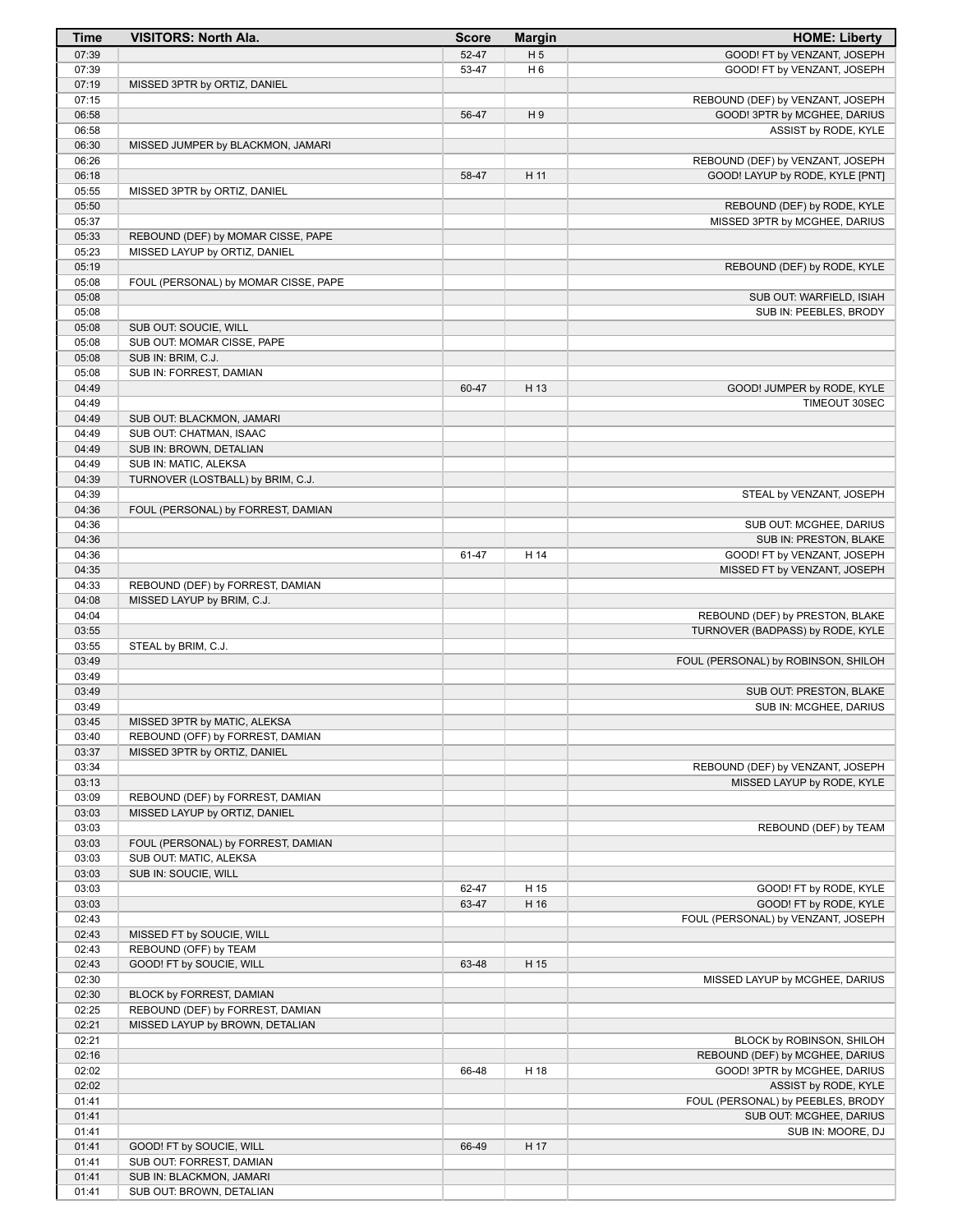| <b>Time</b>    | <b>VISITORS: North Ala.</b>                                       | <b>Score</b> | <b>Margin</b>  | <b>HOME: Liberty</b>                                        |
|----------------|-------------------------------------------------------------------|--------------|----------------|-------------------------------------------------------------|
| 07:39          |                                                                   | 52-47        | H <sub>5</sub> | GOOD! FT by VENZANT, JOSEPH                                 |
| 07:39          |                                                                   | 53-47        | H <sub>6</sub> | GOOD! FT by VENZANT, JOSEPH                                 |
| 07:19          | MISSED 3PTR by ORTIZ, DANIEL                                      |              |                |                                                             |
| 07:15          |                                                                   |              |                | REBOUND (DEF) by VENZANT, JOSEPH                            |
| 06:58          |                                                                   | 56-47        | H <sub>9</sub> | GOOD! 3PTR by MCGHEE, DARIUS                                |
| 06:58<br>06:30 | MISSED JUMPER by BLACKMON, JAMARI                                 |              |                | ASSIST by RODE, KYLE                                        |
| 06:26          |                                                                   |              |                | REBOUND (DEF) by VENZANT, JOSEPH                            |
| 06:18          |                                                                   | 58-47        | H 11           | GOOD! LAYUP by RODE, KYLE [PNT]                             |
| 05:55          | MISSED 3PTR by ORTIZ, DANIEL                                      |              |                |                                                             |
| 05:50          |                                                                   |              |                | REBOUND (DEF) by RODE, KYLE                                 |
| 05:37          |                                                                   |              |                | MISSED 3PTR by MCGHEE, DARIUS                               |
| 05:33          | REBOUND (DEF) by MOMAR CISSE, PAPE                                |              |                |                                                             |
| 05:23          | MISSED LAYUP by ORTIZ, DANIEL                                     |              |                |                                                             |
| 05:19<br>05:08 | FOUL (PERSONAL) by MOMAR CISSE, PAPE                              |              |                | REBOUND (DEF) by RODE, KYLE                                 |
| 05:08          |                                                                   |              |                | SUB OUT: WARFIELD, ISIAH                                    |
| 05:08          |                                                                   |              |                | SUB IN: PEEBLES, BRODY                                      |
| 05:08          | SUB OUT: SOUCIE, WILL                                             |              |                |                                                             |
| 05:08          | SUB OUT: MOMAR CISSE, PAPE                                        |              |                |                                                             |
| 05:08          | SUB IN: BRIM, C.J.                                                |              |                |                                                             |
| 05:08          | SUB IN: FORREST, DAMIAN                                           |              |                |                                                             |
| 04:49          |                                                                   | 60-47        | H 13           | GOOD! JUMPER by RODE, KYLE                                  |
| 04:49<br>04:49 | SUB OUT: BLACKMON, JAMARI                                         |              |                | TIMEOUT 30SEC                                               |
| 04:49          | SUB OUT: CHATMAN, ISAAC                                           |              |                |                                                             |
| 04:49          | SUB IN: BROWN, DETALIAN                                           |              |                |                                                             |
| 04:49          | SUB IN: MATIC, ALEKSA                                             |              |                |                                                             |
| 04:39          | TURNOVER (LOSTBALL) by BRIM, C.J.                                 |              |                |                                                             |
| 04:39          |                                                                   |              |                | STEAL by VENZANT, JOSEPH                                    |
| 04:36          | FOUL (PERSONAL) by FORREST, DAMIAN                                |              |                |                                                             |
| 04:36          |                                                                   |              |                | SUB OUT: MCGHEE, DARIUS                                     |
| 04:36          |                                                                   |              |                | SUB IN: PRESTON, BLAKE                                      |
| 04:36<br>04:35 |                                                                   | 61-47        | H 14           | GOOD! FT by VENZANT, JOSEPH<br>MISSED FT by VENZANT, JOSEPH |
| 04:33          | REBOUND (DEF) by FORREST, DAMIAN                                  |              |                |                                                             |
| 04:08          | MISSED LAYUP by BRIM, C.J.                                        |              |                |                                                             |
| 04:04          |                                                                   |              |                | REBOUND (DEF) by PRESTON, BLAKE                             |
| 03:55          |                                                                   |              |                | TURNOVER (BADPASS) by RODE, KYLE                            |
| 03:55          | STEAL by BRIM, C.J.                                               |              |                |                                                             |
| 03:49          |                                                                   |              |                | FOUL (PERSONAL) by ROBINSON, SHILOH                         |
| 03:49<br>03:49 |                                                                   |              |                | SUB OUT: PRESTON, BLAKE                                     |
| 03:49          |                                                                   |              |                | SUB IN: MCGHEE, DARIUS                                      |
| 03:45          | MISSED 3PTR by MATIC, ALEKSA                                      |              |                |                                                             |
| 03:40          | REBOUND (OFF) by FORREST, DAMIAN                                  |              |                |                                                             |
| 03:37          | MISSED 3PTR by ORTIZ, DANIEL                                      |              |                |                                                             |
| 03:34          |                                                                   |              |                | REBOUND (DEF) by VENZANT, JOSEPH                            |
| 03:13          |                                                                   |              |                | MISSED LAYUP by RODE, KYLE                                  |
| 03:09          | REBOUND (DEF) by FORREST, DAMIAN<br>MISSED LAYUP by ORTIZ, DANIEL |              |                |                                                             |
| 03:03<br>03:03 |                                                                   |              |                | REBOUND (DEF) by TEAM                                       |
| 03:03          | FOUL (PERSONAL) by FORREST, DAMIAN                                |              |                |                                                             |
| 03:03          | SUB OUT: MATIC, ALEKSA                                            |              |                |                                                             |
| 03:03          | SUB IN: SOUCIE, WILL                                              |              |                |                                                             |
| 03:03          |                                                                   | 62-47        | H 15           | GOOD! FT by RODE, KYLE                                      |
| 03:03          |                                                                   | 63-47        | H 16           | GOOD! FT by RODE, KYLE                                      |
| 02:43          |                                                                   |              |                | FOUL (PERSONAL) by VENZANT, JOSEPH                          |
| 02:43<br>02:43 | MISSED FT by SOUCIE, WILL<br>REBOUND (OFF) by TEAM                |              |                |                                                             |
| 02:43          | GOOD! FT by SOUCIE, WILL                                          | 63-48        | H 15           |                                                             |
| 02:30          |                                                                   |              |                | MISSED LAYUP by MCGHEE, DARIUS                              |
| 02:30          | BLOCK by FORREST, DAMIAN                                          |              |                |                                                             |
| 02:25          | REBOUND (DEF) by FORREST, DAMIAN                                  |              |                |                                                             |
| 02:21          | MISSED LAYUP by BROWN, DETALIAN                                   |              |                |                                                             |
| 02:21          |                                                                   |              |                | BLOCK by ROBINSON, SHILOH                                   |
| 02:16          |                                                                   |              |                | REBOUND (DEF) by MCGHEE, DARIUS                             |
| 02:02<br>02:02 |                                                                   | 66-48        | H 18           | GOOD! 3PTR by MCGHEE, DARIUS<br>ASSIST by RODE, KYLE        |
| 01:41          |                                                                   |              |                | FOUL (PERSONAL) by PEEBLES, BRODY                           |
| 01:41          |                                                                   |              |                | SUB OUT: MCGHEE, DARIUS                                     |
| 01:41          |                                                                   |              |                | SUB IN: MOORE, DJ                                           |
| 01:41          | GOOD! FT by SOUCIE, WILL                                          | 66-49        | H 17           |                                                             |
| 01:41          | SUB OUT: FORREST, DAMIAN                                          |              |                |                                                             |
| 01:41          | SUB IN: BLACKMON, JAMARI                                          |              |                |                                                             |
| 01:41          | SUB OUT: BROWN, DETALIAN                                          |              |                |                                                             |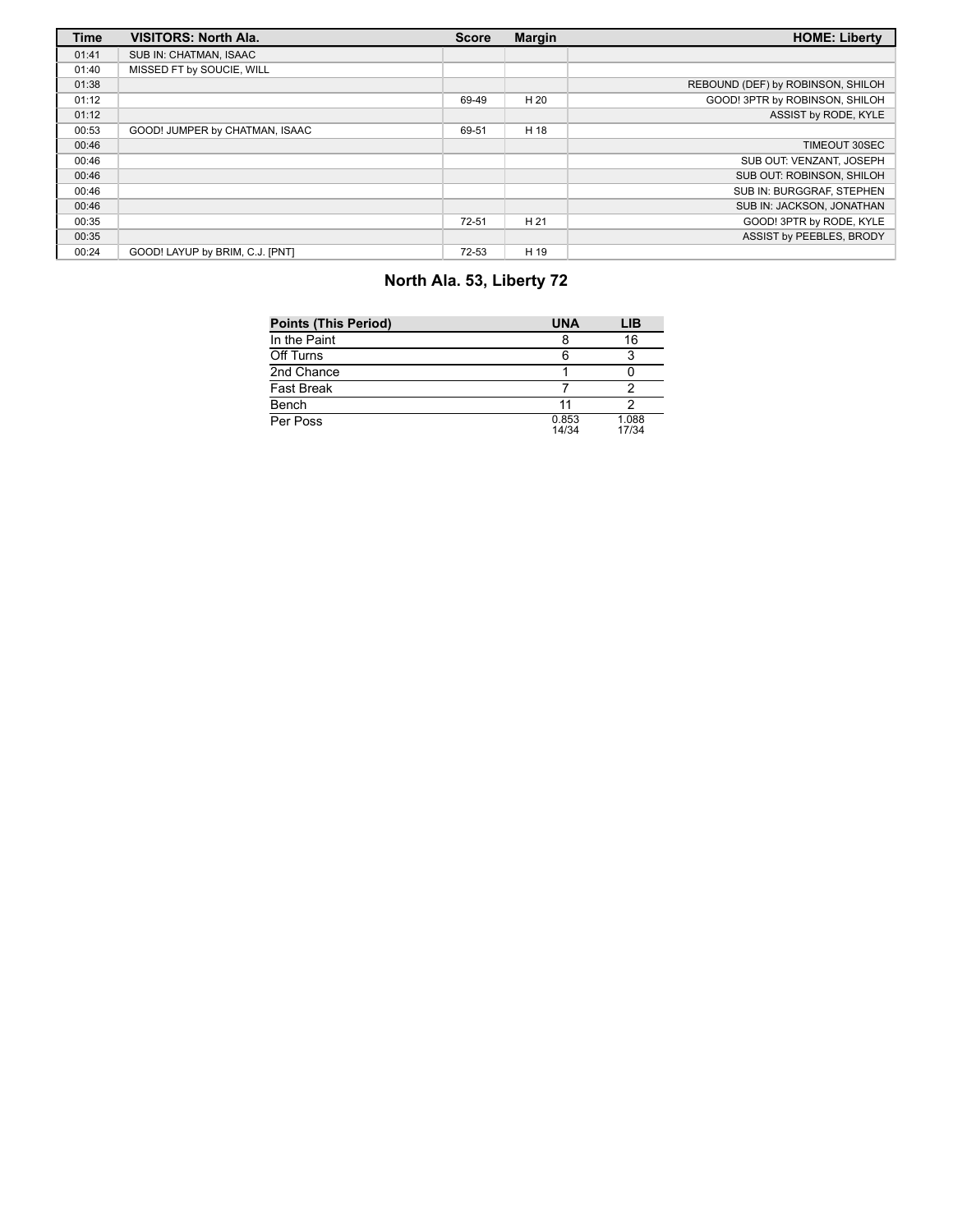| <b>Time</b> | <b>VISITORS: North Ala.</b>     | <b>Score</b> | <b>Margin</b> | <b>HOME: Liberty</b>              |
|-------------|---------------------------------|--------------|---------------|-----------------------------------|
| 01:41       | SUB IN: CHATMAN, ISAAC          |              |               |                                   |
| 01:40       | MISSED FT by SOUCIE, WILL       |              |               |                                   |
| 01:38       |                                 |              |               | REBOUND (DEF) by ROBINSON, SHILOH |
| 01:12       |                                 | 69-49        | H 20          | GOOD! 3PTR by ROBINSON, SHILOH    |
| 01:12       |                                 |              |               | ASSIST by RODE, KYLE              |
| 00:53       | GOOD! JUMPER by CHATMAN, ISAAC  | 69-51        | H 18          |                                   |
| 00:46       |                                 |              |               | TIMEOUT 30SEC                     |
| 00:46       |                                 |              |               | SUB OUT: VENZANT, JOSEPH          |
| 00:46       |                                 |              |               | SUB OUT: ROBINSON, SHILOH         |
| 00:46       |                                 |              |               | SUB IN: BURGGRAF, STEPHEN         |
| 00:46       |                                 |              |               | SUB IN: JACKSON, JONATHAN         |
| 00:35       |                                 | $72 - 51$    | H 21          | GOOD! 3PTR by RODE, KYLE          |
| 00:35       |                                 |              |               | ASSIST by PEEBLES, BRODY          |
| 00:24       | GOOD! LAYUP by BRIM, C.J. [PNT] | 72-53        | H 19          |                                   |

# **North Ala. 53, Liberty 72**

| <b>Points (This Period)</b> | <b>UNA</b>     | LIB            |
|-----------------------------|----------------|----------------|
| In the Paint                |                | 16             |
| Off Turns                   |                |                |
| 2nd Chance                  |                |                |
| <b>Fast Break</b>           |                |                |
| Bench                       | 11             |                |
| Per Poss                    | 0.853<br>14/34 | 1.088<br>17/34 |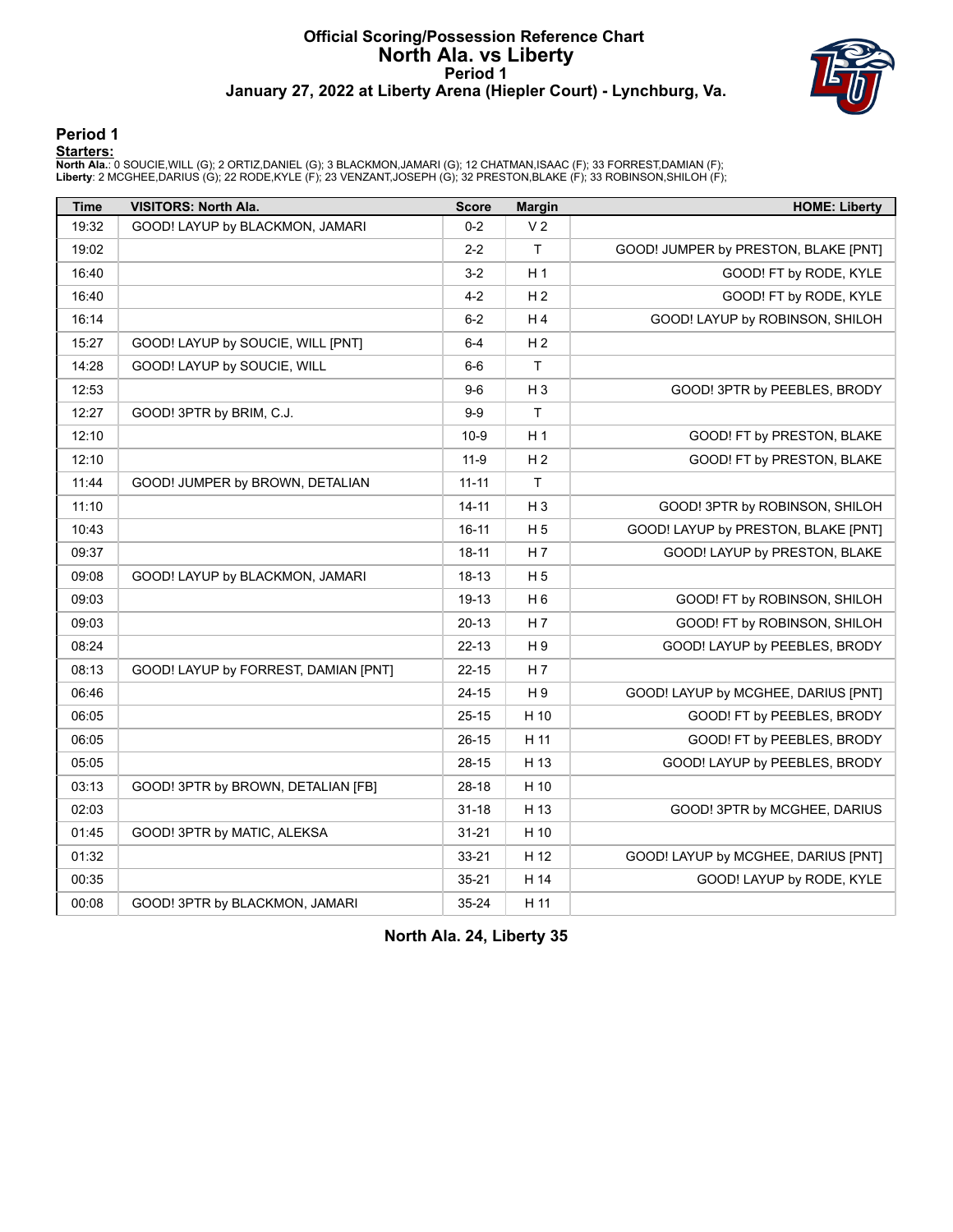### **Official Scoring/Possession Reference Chart North Ala. vs Liberty Period 1 January 27, 2022 at Liberty Arena (Hiepler Court) - Lynchburg, Va.**



#### **Period 1**

<mark>Starters :</mark><br>North Ala.: 0 SOUCIE,WILL (G); 2 ORTIZ,DANIEL (G); 3 BLACKMON,JAMARI (G); 12 CHATMAN,ISAAC (F); 33 FORREST,DAMIAN (F);<br>Liberty: 2 MCGHEE,DARIUS (G); 22 RODE,KYLE (F); 23 VENZANT,JOSEPH (G); 32 PRESTON,BLAKE (F

| <b>Time</b> | <b>VISITORS: North Ala.</b>          | <b>Score</b> | <b>Margin</b>  | <b>HOME: Liberty</b>                 |
|-------------|--------------------------------------|--------------|----------------|--------------------------------------|
| 19:32       | GOOD! LAYUP by BLACKMON, JAMARI      | $0 - 2$      | V <sub>2</sub> |                                      |
| 19:02       |                                      | $2 - 2$      | T              | GOOD! JUMPER by PRESTON, BLAKE [PNT] |
| 16:40       |                                      | $3 - 2$      | H1             | GOOD! FT by RODE, KYLE               |
| 16:40       |                                      | $4 - 2$      | H <sub>2</sub> | GOOD! FT by RODE, KYLE               |
| 16:14       |                                      | $6-2$        | H <sub>4</sub> | GOOD! LAYUP by ROBINSON, SHILOH      |
| 15:27       | GOOD! LAYUP by SOUCIE, WILL [PNT]    | $6-4$        | H <sub>2</sub> |                                      |
| 14:28       | GOOD! LAYUP by SOUCIE, WILL          | $6-6$        | $\mathsf{T}$   |                                      |
| 12:53       |                                      | $9-6$        | H <sub>3</sub> | GOOD! 3PTR by PEEBLES, BRODY         |
| 12:27       | GOOD! 3PTR by BRIM, C.J.             | $9 - 9$      | T              |                                      |
| 12:10       |                                      | $10-9$       | H1             | GOOD! FT by PRESTON, BLAKE           |
| 12:10       |                                      | $11-9$       | H <sub>2</sub> | GOOD! FT by PRESTON, BLAKE           |
| 11:44       | GOOD! JUMPER by BROWN, DETALIAN      | $11 - 11$    | $\mathsf{T}$   |                                      |
| 11:10       |                                      | $14 - 11$    | $H_3$          | GOOD! 3PTR by ROBINSON, SHILOH       |
| 10:43       |                                      | $16 - 11$    | H <sub>5</sub> | GOOD! LAYUP by PRESTON, BLAKE [PNT]  |
| 09:37       |                                      | $18 - 11$    | H <sub>7</sub> | GOOD! LAYUP by PRESTON, BLAKE        |
| 09:08       | GOOD! LAYUP by BLACKMON, JAMARI      | 18-13        | H <sub>5</sub> |                                      |
| 09:03       |                                      | 19-13        | H <sub>6</sub> | GOOD! FT by ROBINSON, SHILOH         |
| 09:03       |                                      | $20 - 13$    | H <sub>7</sub> | GOOD! FT by ROBINSON, SHILOH         |
| 08:24       |                                      | $22 - 13$    | H9             | GOOD! LAYUP by PEEBLES, BRODY        |
| 08:13       | GOOD! LAYUP by FORREST, DAMIAN [PNT] | $22 - 15$    | H 7            |                                      |
| 06:46       |                                      | 24-15        | H9             | GOOD! LAYUP by MCGHEE, DARIUS [PNT]  |
| 06:05       |                                      | $25 - 15$    | H 10           | GOOD! FT by PEEBLES, BRODY           |
| 06:05       |                                      | $26 - 15$    | H 11           | GOOD! FT by PEEBLES, BRODY           |
| 05:05       |                                      | 28-15        | H 13           | GOOD! LAYUP by PEEBLES, BRODY        |
| 03:13       | GOOD! 3PTR by BROWN, DETALIAN [FB]   | 28-18        | H 10           |                                      |
| 02:03       |                                      | $31 - 18$    | H 13           | GOOD! 3PTR by MCGHEE, DARIUS         |
| 01:45       | GOOD! 3PTR by MATIC, ALEKSA          | $31 - 21$    | H 10           |                                      |
| 01:32       |                                      | $33 - 21$    | H 12           | GOOD! LAYUP by MCGHEE, DARIUS [PNT]  |
| 00:35       |                                      | $35 - 21$    | H 14           | GOOD! LAYUP by RODE, KYLE            |
| 00:08       | GOOD! 3PTR by BLACKMON, JAMARI       | 35-24        | H 11           |                                      |

**North Ala. 24, Liberty 35**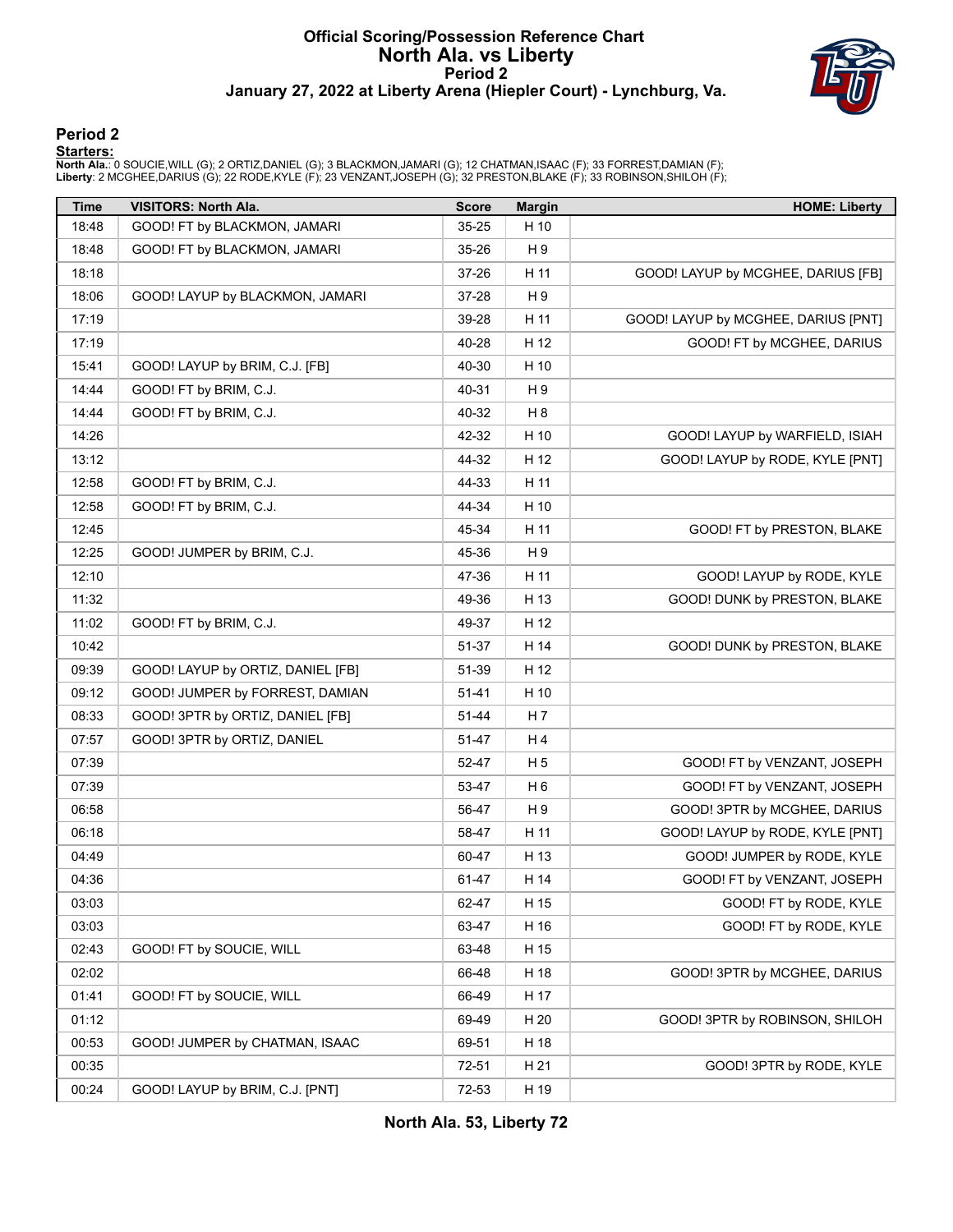### **Official Scoring/Possession Reference Chart North Ala. vs Liberty Period 2 January 27, 2022 at Liberty Arena (Hiepler Court) - Lynchburg, Va.**



#### **Period 2**

<mark>Starters :</mark><br>North Ala.: 0 SOUCIE,WILL (G); 2 ORTIZ,DANIEL (G); 3 BLACKMON,JAMARI (G); 12 CHATMAN,ISAAC (F); 33 FORREST,DAMIAN (F);<br>Liberty: 2 MCGHEE,DARIUS (G); 22 RODE,KYLE (F); 23 VENZANT,JOSEPH (G); 32 PRESTON,BLAKE (F

| <b>Time</b> | <b>VISITORS: North Ala.</b>       | <b>Score</b> | <b>Margin</b>  | <b>HOME: Liberty</b>                |
|-------------|-----------------------------------|--------------|----------------|-------------------------------------|
| 18:48       | GOOD! FT by BLACKMON, JAMARI      | 35-25        | H 10           |                                     |
| 18:48       | GOOD! FT by BLACKMON, JAMARI      | 35-26        | H 9            |                                     |
| 18:18       |                                   | 37-26        | H 11           | GOOD! LAYUP by MCGHEE, DARIUS [FB]  |
| 18:06       | GOOD! LAYUP by BLACKMON, JAMARI   | 37-28        | H9             |                                     |
| 17:19       |                                   | 39-28        | H 11           | GOOD! LAYUP by MCGHEE, DARIUS [PNT] |
| 17:19       |                                   | 40-28        | H 12           | GOOD! FT by MCGHEE, DARIUS          |
| 15:41       | GOOD! LAYUP by BRIM, C.J. [FB]    | 40-30        | H 10           |                                     |
| 14:44       | GOOD! FT by BRIM, C.J.            | 40-31        | H 9            |                                     |
| 14:44       | GOOD! FT by BRIM, C.J.            | 40-32        | H <sub>8</sub> |                                     |
| 14:26       |                                   | 42-32        | H 10           | GOOD! LAYUP by WARFIELD, ISIAH      |
| 13:12       |                                   | 44-32        | H 12           | GOOD! LAYUP by RODE, KYLE [PNT]     |
| 12:58       | GOOD! FT by BRIM, C.J.            | 44-33        | H 11           |                                     |
| 12:58       | GOOD! FT by BRIM, C.J.            | 44-34        | H 10           |                                     |
| 12:45       |                                   | 45-34        | H 11           | GOOD! FT by PRESTON, BLAKE          |
| 12:25       | GOOD! JUMPER by BRIM, C.J.        | 45-36        | H9             |                                     |
| 12:10       |                                   | 47-36        | H 11           | GOOD! LAYUP by RODE, KYLE           |
| 11:32       |                                   | 49-36        | H 13           | GOOD! DUNK by PRESTON, BLAKE        |
| 11:02       | GOOD! FT by BRIM, C.J.            | 49-37        | H 12           |                                     |
| 10:42       |                                   | 51-37        | H 14           | GOOD! DUNK by PRESTON, BLAKE        |
| 09:39       | GOOD! LAYUP by ORTIZ, DANIEL [FB] | 51-39        | H 12           |                                     |
| 09:12       | GOOD! JUMPER by FORREST, DAMIAN   | 51-41        | H 10           |                                     |
| 08:33       | GOOD! 3PTR by ORTIZ, DANIEL [FB]  | 51-44        | H 7            |                                     |
| 07:57       | GOOD! 3PTR by ORTIZ, DANIEL       | 51-47        | H 4            |                                     |
| 07:39       |                                   | 52-47        | H <sub>5</sub> | GOOD! FT by VENZANT, JOSEPH         |
| 07:39       |                                   | 53-47        | H <sub>6</sub> | GOOD! FT by VENZANT, JOSEPH         |
| 06:58       |                                   | 56-47        | H9             | GOOD! 3PTR by MCGHEE, DARIUS        |
| 06:18       |                                   | 58-47        | H 11           | GOOD! LAYUP by RODE, KYLE [PNT]     |
| 04:49       |                                   | 60-47        | H 13           | GOOD! JUMPER by RODE, KYLE          |
| 04:36       |                                   | 61-47        | H 14           | GOOD! FT by VENZANT, JOSEPH         |
| 03:03       |                                   | 62-47        | H 15           | GOOD! FT by RODE, KYLE              |
| 03:03       |                                   | 63-47        | H 16           | GOOD! FT by RODE, KYLE              |
| 02:43       | GOOD! FT by SOUCIE, WILL          | 63-48        | H 15           |                                     |
| 02:02       |                                   | 66-48        | H 18           | GOOD! 3PTR by MCGHEE, DARIUS        |
| 01:41       | GOOD! FT by SOUCIE, WILL          | 66-49        | H 17           |                                     |
| 01:12       |                                   | 69-49        | H 20           | GOOD! 3PTR by ROBINSON, SHILOH      |
| 00:53       | GOOD! JUMPER by CHATMAN, ISAAC    | 69-51        | H 18           |                                     |
| 00:35       |                                   | 72-51        | H 21           | GOOD! 3PTR by RODE, KYLE            |
| 00:24       | GOOD! LAYUP by BRIM, C.J. [PNT]   | 72-53        | H 19           |                                     |

**North Ala. 53, Liberty 72**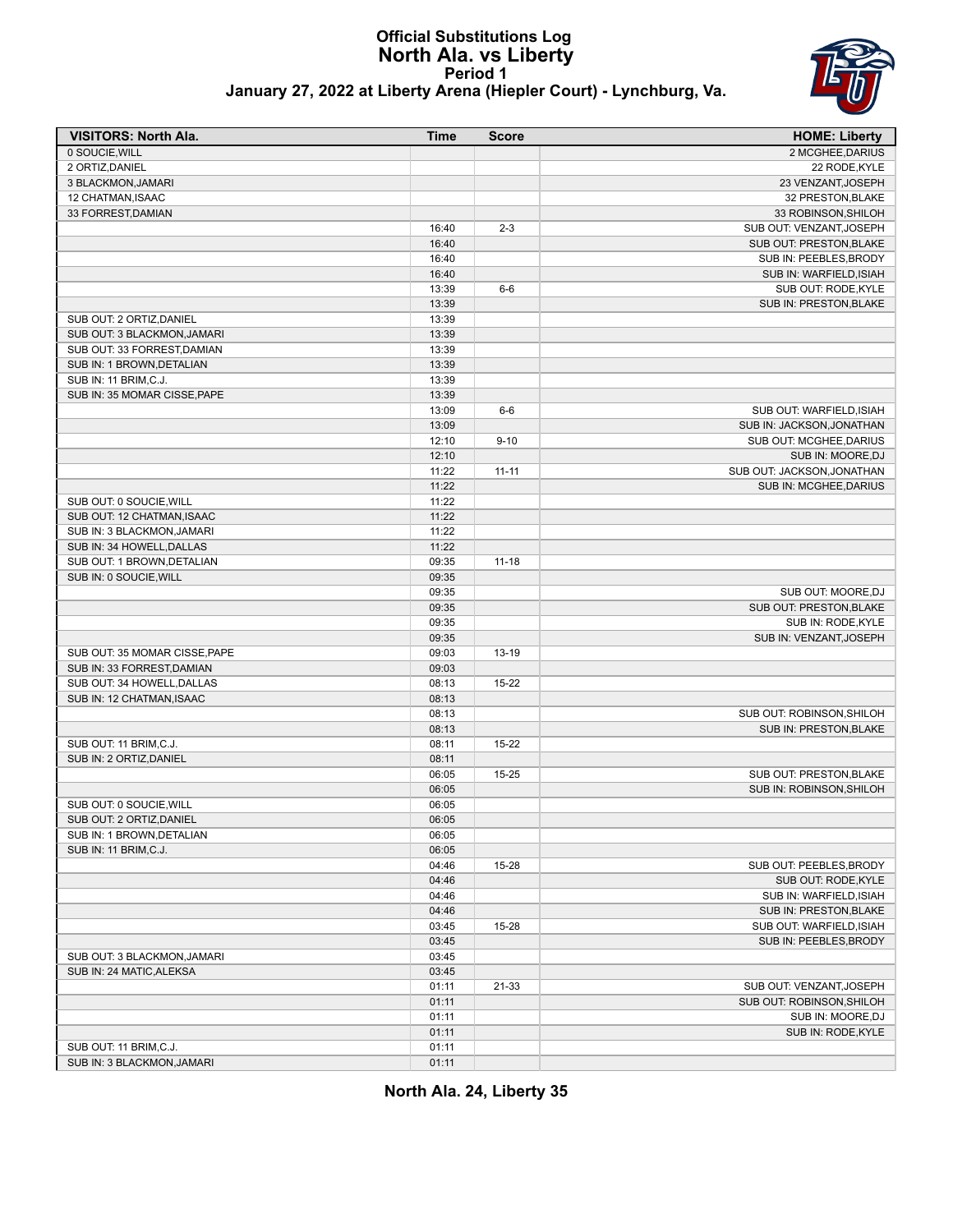# **Official Substitutions Log North Ala. vs Liberty Period 1**



#### **January 27, 2022 at Liberty Arena (Hiepler Court) - Lynchburg, Va.**

| <b>VISITORS: North Ala.</b>   | <b>Time</b> | <b>Score</b> | <b>HOME: Liberty</b>       |
|-------------------------------|-------------|--------------|----------------------------|
| 0 SOUCIE, WILL                |             |              | 2 MCGHEE, DARIUS           |
| 2 ORTIZ, DANIEL               |             |              | 22 RODE, KYLE              |
| 3 BLACKMON, JAMARI            |             |              | 23 VENZANT, JOSEPH         |
| 12 CHATMAN, ISAAC             |             |              | 32 PRESTON, BLAKE          |
| 33 FORREST, DAMIAN            |             |              | 33 ROBINSON, SHILOH        |
|                               | 16:40       | $2 - 3$      | SUB OUT: VENZANT, JOSEPH   |
|                               | 16:40       |              | SUB OUT: PRESTON, BLAKE    |
|                               | 16:40       |              | SUB IN: PEEBLES, BRODY     |
|                               | 16:40       |              | SUB IN: WARFIELD, ISIAH    |
|                               | 13:39       | $6-6$        | SUB OUT: RODE, KYLE        |
|                               | 13:39       |              | SUB IN: PRESTON, BLAKE     |
| SUB OUT: 2 ORTIZ, DANIEL      | 13:39       |              |                            |
| SUB OUT: 3 BLACKMON, JAMARI   | 13:39       |              |                            |
| SUB OUT: 33 FORREST.DAMIAN    | 13:39       |              |                            |
| SUB IN: 1 BROWN, DETALIAN     | 13:39       |              |                            |
| SUB IN: 11 BRIM, C.J.         | 13:39       |              |                            |
| SUB IN: 35 MOMAR CISSE, PAPE  | 13:39       |              |                            |
|                               | 13:09       | $6-6$        | SUB OUT: WARFIELD, ISIAH   |
|                               | 13:09       |              | SUB IN: JACKSON, JONATHAN  |
|                               | 12:10       | $9 - 10$     | SUB OUT: MCGHEE, DARIUS    |
|                               | 12:10       |              | SUB IN: MOORE, DJ          |
|                               | 11:22       | $11 - 11$    | SUB OUT: JACKSON, JONATHAN |
|                               | 11:22       |              | SUB IN: MCGHEE, DARIUS     |
| SUB OUT: 0 SOUCIE, WILL       | 11:22       |              |                            |
| SUB OUT: 12 CHATMAN, ISAAC    | 11:22       |              |                            |
| SUB IN: 3 BLACKMON, JAMARI    | 11:22       |              |                            |
| SUB IN: 34 HOWELL, DALLAS     | 11:22       |              |                            |
| SUB OUT: 1 BROWN, DETALIAN    | 09:35       | $11 - 18$    |                            |
| SUB IN: 0 SOUCIE, WILL        | 09:35       |              |                            |
|                               | 09:35       |              | SUB OUT: MOORE, DJ         |
|                               | 09:35       |              | SUB OUT: PRESTON, BLAKE    |
|                               | 09:35       |              | SUB IN: RODE, KYLE         |
|                               | 09:35       |              | SUB IN: VENZANT, JOSEPH    |
| SUB OUT: 35 MOMAR CISSE, PAPE | 09:03       | 13-19        |                            |
| SUB IN: 33 FORREST, DAMIAN    | 09:03       |              |                            |
| SUB OUT: 34 HOWELL, DALLAS    | 08:13       | $15 - 22$    |                            |
| SUB IN: 12 CHATMAN, ISAAC     | 08:13       |              |                            |
|                               | 08:13       |              | SUB OUT: ROBINSON, SHILOH  |
|                               | 08:13       |              | SUB IN: PRESTON, BLAKE     |
| SUB OUT: 11 BRIM, C.J.        | 08:11       | $15 - 22$    |                            |
| SUB IN: 2 ORTIZ, DANIEL       | 08:11       |              |                            |
|                               | 06:05       | 15-25        | SUB OUT: PRESTON, BLAKE    |
|                               | 06:05       |              | SUB IN: ROBINSON, SHILOH   |
| SUB OUT: 0 SOUCIE, WILL       | 06:05       |              |                            |
| SUB OUT: 2 ORTIZ, DANIEL      | 06:05       |              |                            |
| SUB IN: 1 BROWN, DETALIAN     | 06:05       |              |                            |
| SUB IN: 11 BRIM, C.J.         | 06:05       |              |                            |
|                               | 04:46       | 15-28        | SUB OUT: PEEBLES, BRODY    |
|                               | 04:46       |              | SUB OUT: RODE, KYLE        |
|                               | 04:46       |              | SUB IN: WARFIELD, ISIAH    |
|                               | 04:46       |              | SUB IN: PRESTON, BLAKE     |
|                               | 03:45       | 15-28        | SUB OUT: WARFIELD, ISIAH   |
|                               | 03:45       |              | SUB IN: PEEBLES, BRODY     |
| SUB OUT: 3 BLACKMON, JAMARI   | 03:45       |              |                            |
| SUB IN: 24 MATIC, ALEKSA      | 03:45       |              |                            |
|                               | 01:11       | 21-33        | SUB OUT: VENZANT, JOSEPH   |
|                               | 01:11       |              | SUB OUT: ROBINSON, SHILOH  |
|                               | 01:11       |              | SUB IN: MOORE, DJ          |
|                               | 01:11       |              | SUB IN: RODE, KYLE         |
| SUB OUT: 11 BRIM, C.J.        | 01:11       |              |                            |
| SUB IN: 3 BLACKMON, JAMARI    | 01:11       |              |                            |

**North Ala. 24, Liberty 35**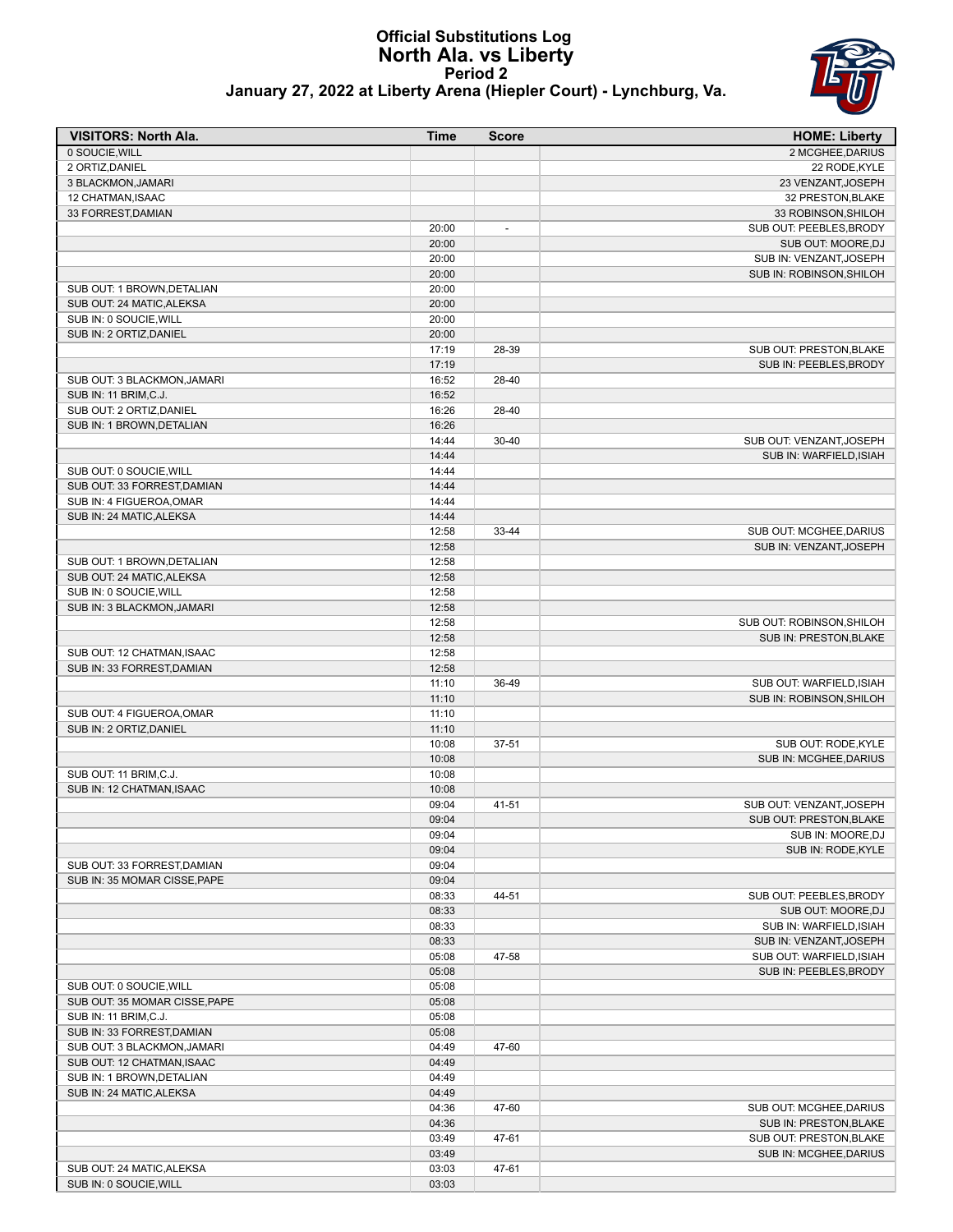#### **Official Substitutions Log North Ala. vs Liberty Period 2 January 27, 2022 at Liberty Arena (Hiepler Court) - Lynchburg, Va.**



| <b>VISITORS: North Ala.</b>                               | Time           | <b>Score</b>             | <b>HOME: Liberty</b>      |
|-----------------------------------------------------------|----------------|--------------------------|---------------------------|
| 0 SOUCIE, WILL                                            |                |                          | 2 MCGHEE, DARIUS          |
| 2 ORTIZ, DANIEL                                           |                |                          | 22 RODE, KYLE             |
| 3 BLACKMON, JAMARI                                        |                |                          | 23 VENZANT, JOSEPH        |
| 12 CHATMAN, ISAAC                                         |                |                          | 32 PRESTON, BLAKE         |
| 33 FORREST, DAMIAN                                        |                |                          | 33 ROBINSON, SHILOH       |
|                                                           | 20:00          | $\overline{\phantom{a}}$ | SUB OUT: PEEBLES, BRODY   |
|                                                           | 20:00          |                          | SUB OUT: MOORE, DJ        |
|                                                           | 20:00          |                          | SUB IN: VENZANT, JOSEPH   |
| SUB OUT: 1 BROWN, DETALIAN                                | 20:00<br>20:00 |                          | SUB IN: ROBINSON, SHILOH  |
| SUB OUT: 24 MATIC, ALEKSA                                 | 20:00          |                          |                           |
| SUB IN: 0 SOUCIE, WILL                                    | 20:00          |                          |                           |
| SUB IN: 2 ORTIZ, DANIEL                                   | 20:00          |                          |                           |
|                                                           | 17:19          | 28-39                    | SUB OUT: PRESTON, BLAKE   |
|                                                           | 17:19          |                          | SUB IN: PEEBLES, BRODY    |
| SUB OUT: 3 BLACKMON, JAMARI                               | 16:52          | 28-40                    |                           |
| SUB IN: 11 BRIM, C.J.                                     | 16:52          |                          |                           |
| SUB OUT: 2 ORTIZ, DANIEL                                  | 16:26          | 28-40                    |                           |
| SUB IN: 1 BROWN, DETALIAN                                 | 16:26          |                          |                           |
|                                                           | 14:44          | $30 - 40$                | SUB OUT: VENZANT, JOSEPH  |
|                                                           | 14:44          |                          | SUB IN: WARFIELD, ISIAH   |
| SUB OUT: 0 SOUCIE, WILL                                   | 14:44          |                          |                           |
| SUB OUT: 33 FORREST, DAMIAN                               | 14:44          |                          |                           |
| SUB IN: 4 FIGUEROA, OMAR                                  | 14:44          |                          |                           |
| SUB IN: 24 MATIC, ALEKSA                                  | 14:44          |                          |                           |
|                                                           | 12:58          | 33-44                    | SUB OUT: MCGHEE, DARIUS   |
|                                                           | 12:58          |                          | SUB IN: VENZANT, JOSEPH   |
| SUB OUT: 1 BROWN, DETALIAN                                | 12:58          |                          |                           |
| SUB OUT: 24 MATIC, ALEKSA                                 | 12:58          |                          |                           |
| SUB IN: 0 SOUCIE, WILL                                    | 12:58          |                          |                           |
| SUB IN: 3 BLACKMON, JAMARI                                | 12:58          |                          |                           |
|                                                           | 12:58          |                          | SUB OUT: ROBINSON, SHILOH |
|                                                           | 12:58          |                          | SUB IN: PRESTON, BLAKE    |
| SUB OUT: 12 CHATMAN, ISAAC                                | 12:58<br>12:58 |                          |                           |
| SUB IN: 33 FORREST, DAMIAN                                | 11:10          | 36-49                    | SUB OUT: WARFIELD, ISIAH  |
|                                                           | 11:10          |                          | SUB IN: ROBINSON, SHILOH  |
| SUB OUT: 4 FIGUEROA, OMAR                                 | 11:10          |                          |                           |
| SUB IN: 2 ORTIZ, DANIEL                                   | 11:10          |                          |                           |
|                                                           | 10:08          | 37-51                    | SUB OUT: RODE, KYLE       |
|                                                           | 10:08          |                          | SUB IN: MCGHEE, DARIUS    |
| SUB OUT: 11 BRIM, C.J.                                    | 10:08          |                          |                           |
| SUB IN: 12 CHATMAN, ISAAC                                 | 10:08          |                          |                           |
|                                                           | 09:04          | 41-51                    | SUB OUT: VENZANT, JOSEPH  |
|                                                           | 09:04          |                          | SUB OUT: PRESTON, BLAKE   |
|                                                           | 09:04          |                          | SUB IN: MOORE, DJ         |
|                                                           | 09:04          |                          | SUB IN: RODE, KYLE        |
| SUB OUT: 33 FORREST, DAMIAN                               | 09:04          |                          |                           |
| SUB IN: 35 MOMAR CISSE, PAPE                              | 09:04          |                          |                           |
|                                                           | 08:33          | 44-51                    | SUB OUT: PEEBLES, BRODY   |
|                                                           | 08:33          |                          | SUB OUT: MOORE, DJ        |
|                                                           | 08:33          |                          | SUB IN: WARFIELD, ISIAH   |
|                                                           | 08:33          |                          | SUB IN: VENZANT, JOSEPH   |
|                                                           | 05:08          | 47-58                    | SUB OUT: WARFIELD, ISIAH  |
|                                                           | 05:08          |                          | SUB IN: PEEBLES, BRODY    |
| SUB OUT: 0 SOUCIE, WILL                                   | 05:08          |                          |                           |
| SUB OUT: 35 MOMAR CISSE, PAPE                             | 05:08          |                          |                           |
| SUB IN: 11 BRIM, C.J.                                     | 05:08<br>05:08 |                          |                           |
| SUB IN: 33 FORREST, DAMIAN<br>SUB OUT: 3 BLACKMON, JAMARI | 04:49          | 47-60                    |                           |
| SUB OUT: 12 CHATMAN, ISAAC                                | 04:49          |                          |                           |
| SUB IN: 1 BROWN, DETALIAN                                 | 04:49          |                          |                           |
| SUB IN: 24 MATIC, ALEKSA                                  | 04:49          |                          |                           |
|                                                           | 04:36          | 47-60                    | SUB OUT: MCGHEE, DARIUS   |
|                                                           | 04:36          |                          | SUB IN: PRESTON, BLAKE    |
|                                                           | 03:49          | 47-61                    | SUB OUT: PRESTON, BLAKE   |
|                                                           | 03:49          |                          | SUB IN: MCGHEE, DARIUS    |
| SUB OUT: 24 MATIC, ALEKSA                                 | 03:03          | 47-61                    |                           |
| SUB IN: 0 SOUCIE, WILL                                    | 03:03          |                          |                           |